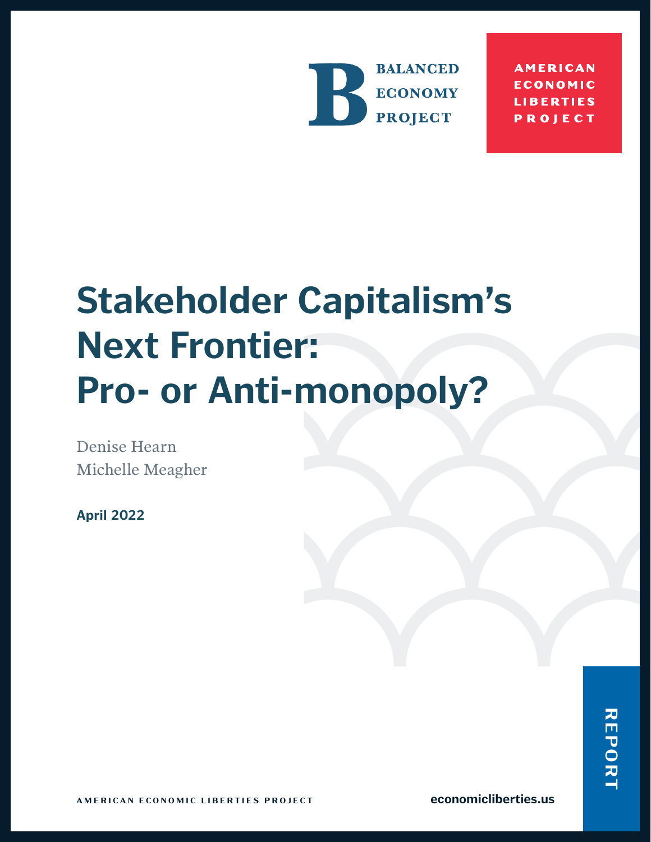

**AMERICAN ECONOMIC LIBERTIES** PROJECT

# **Stakeholder Capitalism's Next Frontier: Pro- or Anti-monopoly?**

Denise Hearn Michelle Meagher

**April 2022**

**AMERICAN ECONOMIC LIBERTIES PROJECT**

**[economicliberties.us](http://economicliberties.us)**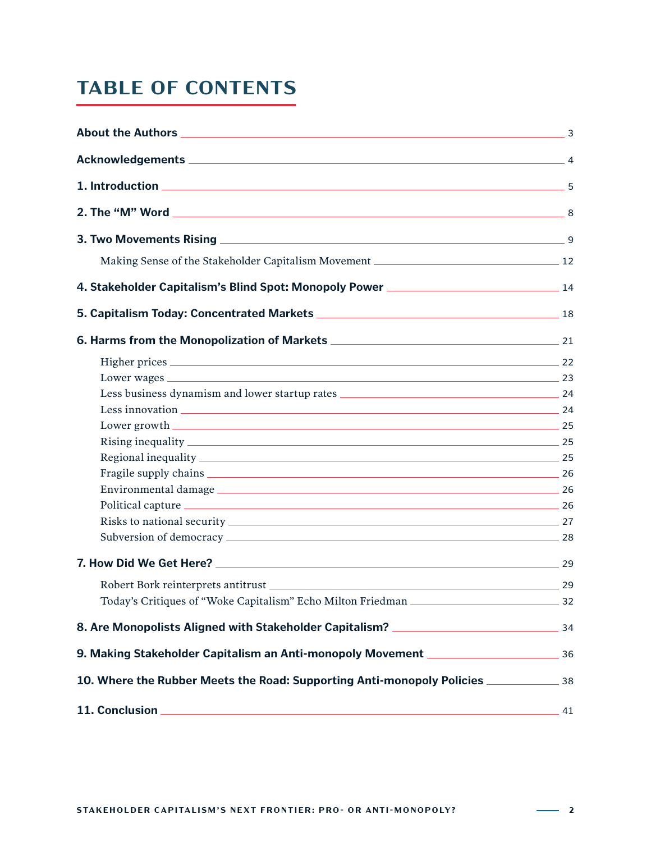# **TABLE OF CONTENTS**

| About the Authors 2000 and 2000 and 2000 and 2000 and 2000 and 2000 and 2000 and 2000 and 2000 and 2000 and 20        |  |
|-----------------------------------------------------------------------------------------------------------------------|--|
|                                                                                                                       |  |
|                                                                                                                       |  |
|                                                                                                                       |  |
| <b>3. Two Movements Rising 2008 Contract and Contract 2008 Contract 2008 Contract 2008 Contract 2008 Contract 200</b> |  |
|                                                                                                                       |  |
| 4. Stakeholder Capitalism's Blind Spot: Monopoly Power 2008 2014 2014 14                                              |  |
|                                                                                                                       |  |
|                                                                                                                       |  |
| Higher prices 22                                                                                                      |  |
|                                                                                                                       |  |
|                                                                                                                       |  |
| Less innovation 24                                                                                                    |  |
|                                                                                                                       |  |
| Rising inequality 25                                                                                                  |  |
| Regional inequality 25                                                                                                |  |
|                                                                                                                       |  |
|                                                                                                                       |  |
| Political capture 26                                                                                                  |  |
| Risks to national security 27                                                                                         |  |
| Subversion of democracy 28                                                                                            |  |
|                                                                                                                       |  |
|                                                                                                                       |  |
|                                                                                                                       |  |
|                                                                                                                       |  |
| 9. Making Stakeholder Capitalism an Anti-monopoly Movement _______________________ 36                                 |  |
|                                                                                                                       |  |
|                                                                                                                       |  |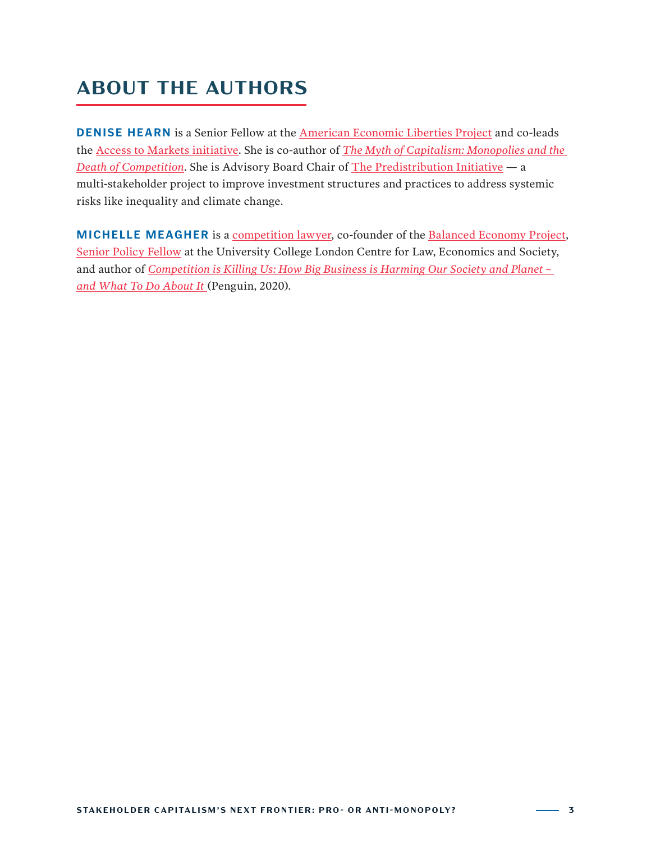## <span id="page-2-0"></span>**ABOUT THE AUTHORS**

**DENISE HEARN** is a Senior Fellow at the [American Economic Liberties Project](https://www.economicliberties.us/) and co-leads the [Access to Markets initiative](http://accesstomarkets.org/). She is co-author of *[The Myth of Capitalism: Monopolies and the](http://mythofcapitalism.com)  [Death of Competition](http://mythofcapitalism.com)*. She is Advisory Board Chair of [The Predistribution Initiative](https://predistributioninitiative.org/) — a multi-stakeholder project to improve investment structures and practices to address systemic risks like inequality and climate change.

**MICHELLE MEAGHER** is a [competition lawyer,](https://twitter.com/MichMeagher) co-founder of the [Balanced Economy Project](https://balancedeconomy.net/), [Senior Policy Fellow](https://www.ucl.ac.uk/cles/michelle-meagher) at the University College London Centre for Law, Economics and Society, and author of *[Competition is Killing Us: How Big Business is Harming Our Society and Planet –](https://www.penguin.co.uk/books/315/315772/competition-is-killing-us/9780241423011.html)  [and What To Do About It](https://www.penguin.co.uk/books/315/315772/competition-is-killing-us/9780241423011.html)* (Penguin, 2020).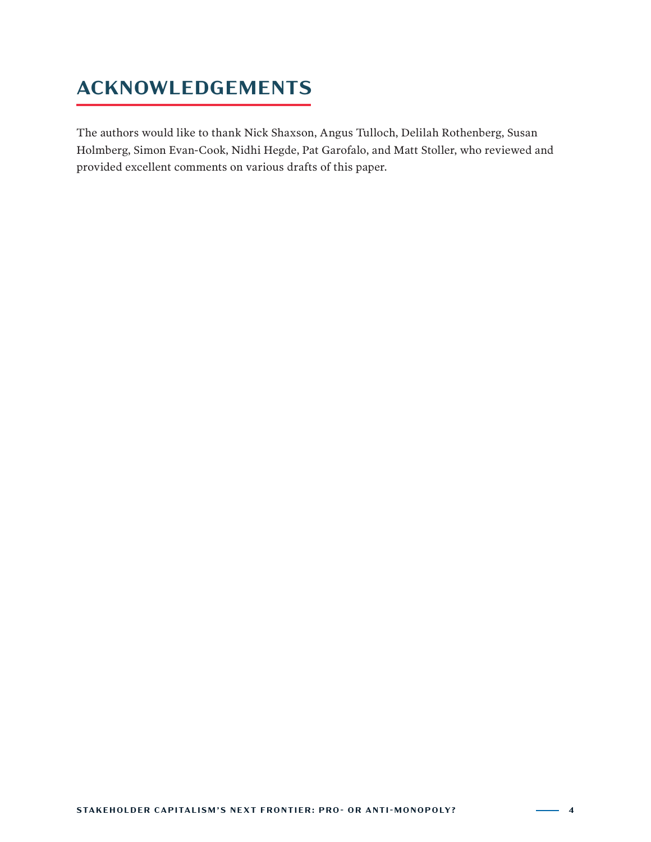# <span id="page-3-0"></span>**ACKNOWLEDGEMENTS**

The authors would like to thank Nick Shaxson, Angus Tulloch, Delilah Rothenberg, Susan Holmberg, Simon Evan-Cook, Nidhi Hegde, Pat Garofalo, and Matt Stoller, who reviewed and provided excellent comments on various drafts of this paper.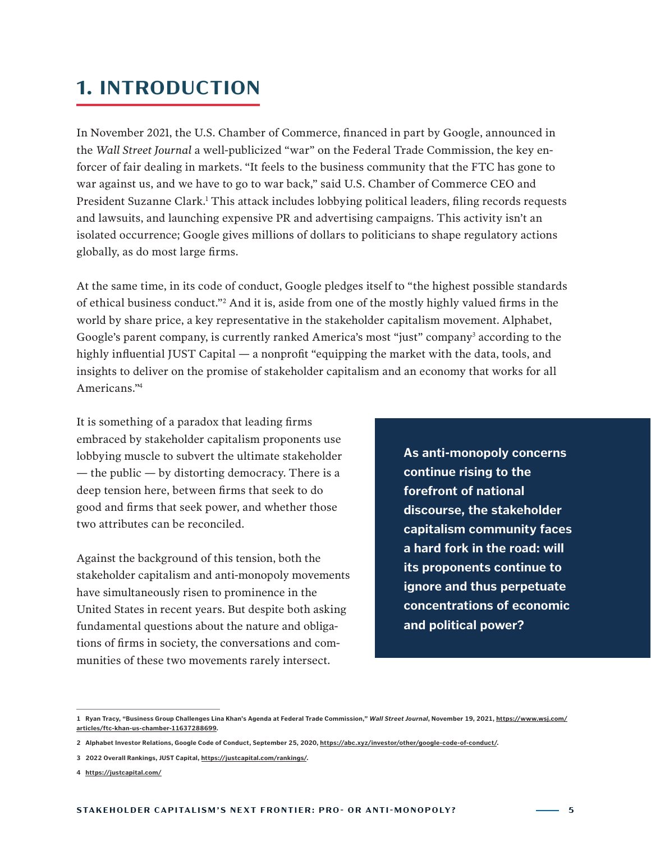### <span id="page-4-0"></span>**1. INTRODUCTION**

In November 2021, the U.S. Chamber of Commerce, financed in part by Google, announced in the *Wall Street Journal* a well-publicized "war" on the Federal Trade Commission, the key enforcer of fair dealing in markets. "It feels to the business community that the FTC has gone to war against us, and we have to go to war back," said U.S. Chamber of Commerce CEO and President Suzanne Clark.<sup>1</sup> This attack includes lobbying political leaders, filing records requests and lawsuits, and launching expensive PR and advertising campaigns. This activity isn't an isolated occurrence; Google gives millions of dollars to politicians to shape regulatory actions globally, as do most large firms.

At the same time, in its code of conduct, Google pledges itself to "the highest possible standards of ethical business conduct."2 And it is, aside from one of the mostly highly valued firms in the world by share price, a key representative in the stakeholder capitalism movement. Alphabet, Google's parent company, is currently ranked America's most "just" company<sup>3</sup> according to the highly influential JUST Capital — a nonprofit "equipping the market with the data, tools, and insights to deliver on the promise of stakeholder capitalism and an economy that works for all Americans."4

It is something of a paradox that leading firms embraced by stakeholder capitalism proponents use lobbying muscle to subvert the ultimate stakeholder — the public — by distorting democracy. There is a deep tension here, between firms that seek to do good and firms that seek power, and whether those two attributes can be reconciled.

Against the background of this tension, both the stakeholder capitalism and anti-monopoly movements have simultaneously risen to prominence in the United States in recent years. But despite both asking fundamental questions about the nature and obligations of firms in society, the conversations and communities of these two movements rarely intersect.

**As anti-monopoly concerns continue rising to the forefront of national discourse, the stakeholder capitalism community faces a hard fork in the road: will its proponents continue to ignore and thus perpetuate concentrations of economic and political power?**

**<sup>1</sup> Ryan Tracy, "Business Group Challenges Lina Khan's Agenda at Federal Trade Commission,"** *Wall Street Journal***, November 19, 2021, https://www.wsj.com/ articles/ftc-khan-us-chamber-11637288699.**

**<sup>2</sup> Alphabet Investor Relations, Google Code of Conduct, September 25, 2020, https://abc.xyz/investor/other/google-code-of-conduct/.**

**<sup>3 2022</sup> Overall Rankings, JUST Capital,<https://justcapital.com/rankings/>.**

**<sup>4</sup> <https://justcapital.com/>**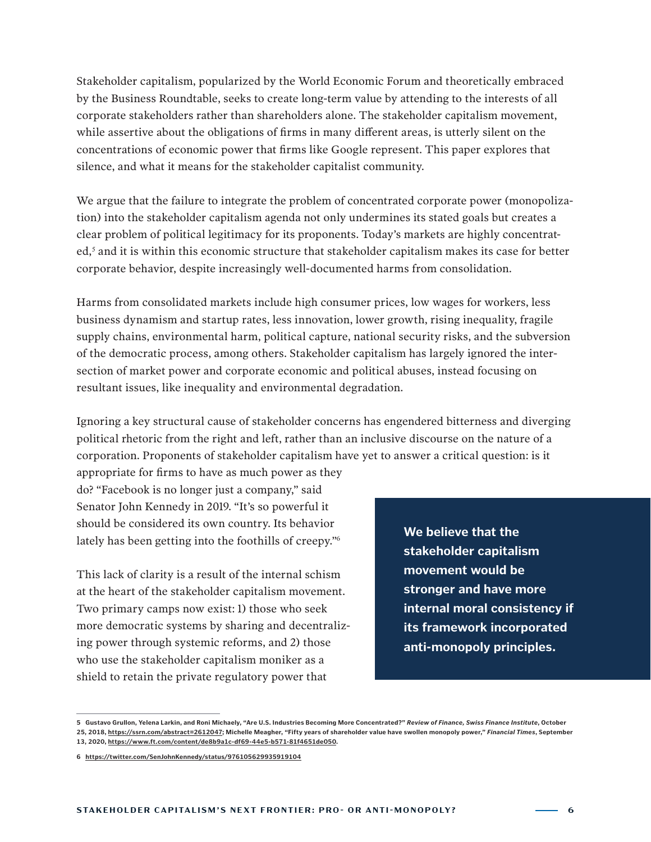Stakeholder capitalism, popularized by the World Economic Forum and theoretically embraced by the Business Roundtable, seeks to create long-term value by attending to the interests of all corporate stakeholders rather than shareholders alone. The stakeholder capitalism movement, while assertive about the obligations of firms in many different areas, is utterly silent on the concentrations of economic power that firms like Google represent. This paper explores that silence, and what it means for the stakeholder capitalist community.

We argue that the failure to integrate the problem of concentrated corporate power (monopolization) into the stakeholder capitalism agenda not only undermines its stated goals but creates a clear problem of political legitimacy for its proponents. Today's markets are highly concentrat $ed<sub>5</sub>$  and it is within this economic structure that stakeholder capitalism makes its case for better corporate behavior, despite increasingly well-documented harms from consolidation.

Harms from consolidated markets include high consumer prices, low wages for workers, less business dynamism and startup rates, less innovation, lower growth, rising inequality, fragile supply chains, environmental harm, political capture, national security risks, and the subversion of the democratic process, among others. Stakeholder capitalism has largely ignored the intersection of market power and corporate economic and political abuses, instead focusing on resultant issues, like inequality and environmental degradation.

Ignoring a key structural cause of stakeholder concerns has engendered bitterness and diverging political rhetoric from the right and left, rather than an inclusive discourse on the nature of a corporation. Proponents of stakeholder capitalism have yet to answer a critical question: is it

appropriate for firms to have as much power as they do? "Facebook is no longer just a company," said Senator John Kennedy in 2019. "It's so powerful it should be considered its own country. Its behavior lately has been getting into the foothills of creepy."6

This lack of clarity is a result of the internal schism at the heart of the stakeholder capitalism movement. Two primary camps now exist: 1) those who seek more democratic systems by sharing and decentralizing power through systemic reforms, and 2) those who use the stakeholder capitalism moniker as a shield to retain the private regulatory power that

**We believe that the stakeholder capitalism movement would be stronger and have more internal moral consistency if its framework incorporated anti-monopoly principles.**

**<sup>5</sup> Gustavo Grullon, Yelena Larkin, and Roni Michaely, "Are U.S. Industries Becoming More Concentrated?"** *Review of Finance, Swiss Finance Institute***, October 25, 2018, <https://ssrn.com/abstract=2612047>; Michelle Meagher, "Fifty years of shareholder value have swollen monopoly power,"** *Financial Times***, September 13, 2020, <https://www.ft.com/content/de8b9a1c-df69-44e5-b571-81f4651de050>.**

**<sup>6</sup> <https://twitter.com/SenJohnKennedy/status/976105629935919104>**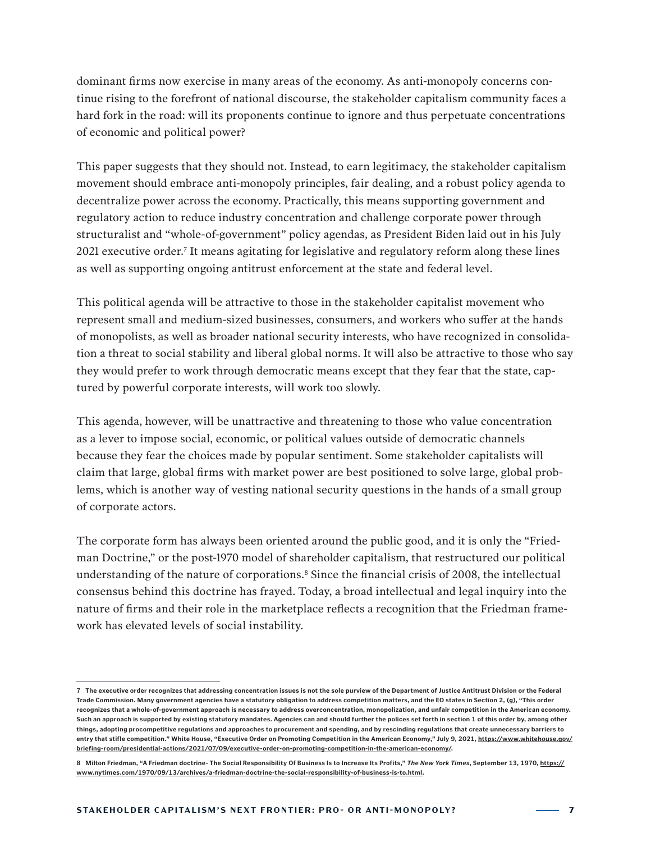dominant firms now exercise in many areas of the economy. As anti-monopoly concerns continue rising to the forefront of national discourse, the stakeholder capitalism community faces a hard fork in the road: will its proponents continue to ignore and thus perpetuate concentrations of economic and political power?

This paper suggests that they should not. Instead, to earn legitimacy, the stakeholder capitalism movement should embrace anti-monopoly principles, fair dealing, and a robust policy agenda to decentralize power across the economy. Practically, this means supporting government and regulatory action to reduce industry concentration and challenge corporate power through structuralist and "whole-of-government" policy agendas, as President Biden laid out in his July 2021 executive order.<sup>7</sup> It means agitating for legislative and regulatory reform along these lines as well as supporting ongoing antitrust enforcement at the state and federal level.

This political agenda will be attractive to those in the stakeholder capitalist movement who represent small and medium-sized businesses, consumers, and workers who suffer at the hands of monopolists, as well as broader national security interests, who have recognized in consolidation a threat to social stability and liberal global norms. It will also be attractive to those who say they would prefer to work through democratic means except that they fear that the state, captured by powerful corporate interests, will work too slowly.

This agenda, however, will be unattractive and threatening to those who value concentration as a lever to impose social, economic, or political values outside of democratic channels because they fear the choices made by popular sentiment. Some stakeholder capitalists will claim that large, global firms with market power are best positioned to solve large, global problems, which is another way of vesting national security questions in the hands of a small group of corporate actors.

The corporate form has always been oriented around the public good, and it is only the "Friedman Doctrine," or the post-1970 model of shareholder capitalism, that restructured our political understanding of the nature of corporations.<sup>8</sup> Since the financial crisis of 2008, the intellectual consensus behind this doctrine has frayed. Today, a broad intellectual and legal inquiry into the nature of firms and their role in the marketplace reflects a recognition that the Friedman framework has elevated levels of social instability.

**<sup>7</sup> The executive order recognizes that addressing concentration issues is not the sole purview of the Department of Justice Antitrust Division or the Federal Trade Commission. Many government agencies have a statutory obligation to address competition matters, and the EO states in Section 2, (g), "This order recognizes that a whole-of-government approach is necessary to address overconcentration, monopolization, and unfair competition in the American economy. Such an approach is supported by existing statutory mandates. Agencies can and should further the polices set forth in section 1 of this order by, among other things, adopting procompetitive regulations and approaches to procurement and spending, and by rescinding regulations that create unnecessary barriers to entry that stifle competition." White House, "Executive Order on Promoting Competition in the American Economy," July 9, 2021, https://www.whitehouse.gov/ briefing-room/presidential-actions/2021/07/09/executive-order-on-promoting-competition-in-the-american-economy/.**

**<sup>8</sup> Milton Friedman, "A Friedman doctrine- The Social Responsibility Of Business Is to Increase Its Profits,"** *The New York Times***, September 13, 1970, [https://](https://www.nytimes.com/1970/09/13/archives/a-friedman-doctrine-the-social-responsibility-of-business-is-to.html) [www.nytimes.com/1970/09/13/archives/a-friedman-doctrine-the-social-responsibility-of-business-is-to.html](https://www.nytimes.com/1970/09/13/archives/a-friedman-doctrine-the-social-responsibility-of-business-is-to.html).**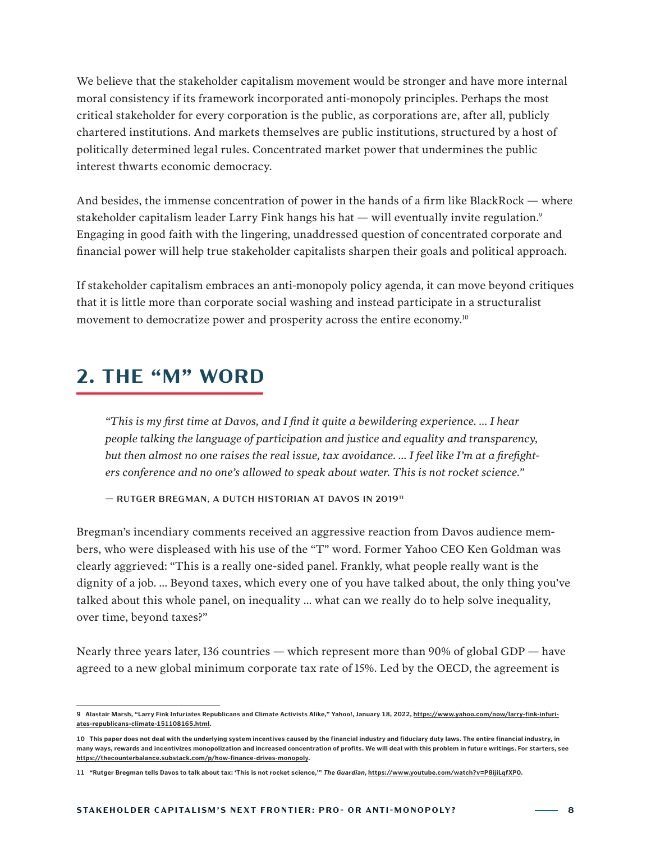<span id="page-7-0"></span>We believe that the stakeholder capitalism movement would be stronger and have more internal moral consistency if its framework incorporated anti-monopoly principles. Perhaps the most critical stakeholder for every corporation is the public, as corporations are, after all, publicly chartered institutions. And markets themselves are public institutions, structured by a host of politically determined legal rules. Concentrated market power that undermines the public interest thwarts economic democracy.

And besides, the immense concentration of power in the hands of a firm like BlackRock — where stakeholder capitalism leader Larry Fink hangs his hat — will eventually invite regulation.<sup>9</sup> Engaging in good faith with the lingering, unaddressed question of concentrated corporate and financial power will help true stakeholder capitalists sharpen their goals and political approach.

If stakeholder capitalism embraces an anti-monopoly policy agenda, it can move beyond critiques that it is little more than corporate social washing and instead participate in a structuralist movement to democratize power and prosperity across the entire economy.10

### **2. THE "M" WORD**

*"This is my first time at Davos, and I find it quite a bewildering experience. ... I hear people talking the language of participation and justice and equality and transparency, but then almost no one raises the real issue, tax avoidance. … I feel like I'm at a firefighters conference and no one's allowed to speak about water. This is not rocket science."*

— RUTGER BREGMAN, A DUTCH HISTORIAN AT DAVOS IN 201911

Bregman's incendiary comments received an aggressive reaction from Davos audience members, who were displeased with his use of the "T" word. Former Yahoo CEO Ken Goldman was clearly aggrieved: "This is a really one-sided panel. Frankly, what people really want is the dignity of a job. … Beyond taxes, which every one of you have talked about, the only thing you've talked about this whole panel, on inequality … what can we really do to help solve inequality, over time, beyond taxes?"

Nearly three years later, 136 countries — which represent more than 90% of global GDP — have agreed to a new global minimum corporate tax rate of 15%. Led by the OECD, the agreement is

<sup>9</sup> Alastair Marsh, "Larry Fink Infuriates Republicans and Climate Activists Alike," Yahoo!, January 18, 2022, [https://www.yahoo.com/now/larry-fink-infuri](https://www.yahoo.com/now/larry-fink-infuriates-republicans-climate-151108165.html)**[ates-republicans-climate-151108165.html](https://www.yahoo.com/now/larry-fink-infuriates-republicans-climate-151108165.html).** 

**<sup>10</sup> This paper does not deal with the underlying system incentives caused by the financial industry and fiduciary duty laws. The entire financial industry, in many ways, rewards and incentivizes monopolization and increased concentration of profits. We will deal with this problem in future writings. For starters, see <https://thecounterbalance.substack.com/p/how-finance-drives-monopoly>.** 

**<sup>11 &</sup>quot;Rutger Bregman tells Davos to talk about tax: 'This is not rocket science,'"** *The Guardian***,<https://www.youtube.com/watch?v=P8ijiLqfXP0>.**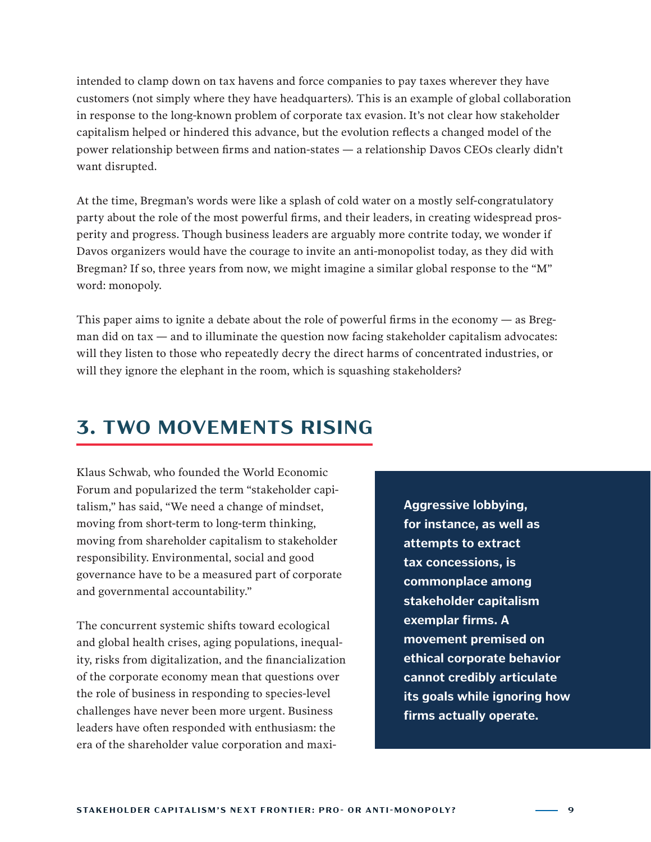<span id="page-8-0"></span>intended to clamp down on tax havens and force companies to pay taxes wherever they have customers (not simply where they have headquarters). This is an example of global collaboration in response to the long-known problem of corporate tax evasion. It's not clear how stakeholder capitalism helped or hindered this advance, but the evolution reflects a changed model of the power relationship between firms and nation-states — a relationship Davos CEOs clearly didn't want disrupted.

At the time, Bregman's words were like a splash of cold water on a mostly self-congratulatory party about the role of the most powerful firms, and their leaders, in creating widespread prosperity and progress. Though business leaders are arguably more contrite today, we wonder if Davos organizers would have the courage to invite an anti-monopolist today, as they did with Bregman? If so, three years from now, we might imagine a similar global response to the "M" word: monopoly.

This paper aims to ignite a debate about the role of powerful firms in the economy — as Bregman did on tax  $-$  and to illuminate the question now facing stakeholder capitalism advocates: will they listen to those who repeatedly decry the direct harms of concentrated industries, or will they ignore the elephant in the room, which is squashing stakeholders?

### **3. TWO MOVEMENTS RISING**

Klaus Schwab, who founded the World Economic Forum and popularized the term "stakeholder capitalism," has said, "We need a change of mindset, moving from short-term to long-term thinking, moving from shareholder capitalism to stakeholder responsibility. Environmental, social and good governance have to be a measured part of corporate and governmental accountability."

The concurrent systemic shifts toward ecological and global health crises, aging populations, inequality, risks from digitalization, and the financialization of the corporate economy mean that questions over the role of business in responding to species-level challenges have never been more urgent. Business leaders have often responded with enthusiasm: the era of the shareholder value corporation and maxi**Aggressive lobbying, for instance, as well as attempts to extract tax concessions, is commonplace among stakeholder capitalism exemplar firms. A movement premised on ethical corporate behavior cannot credibly articulate its goals while ignoring how firms actually operate.**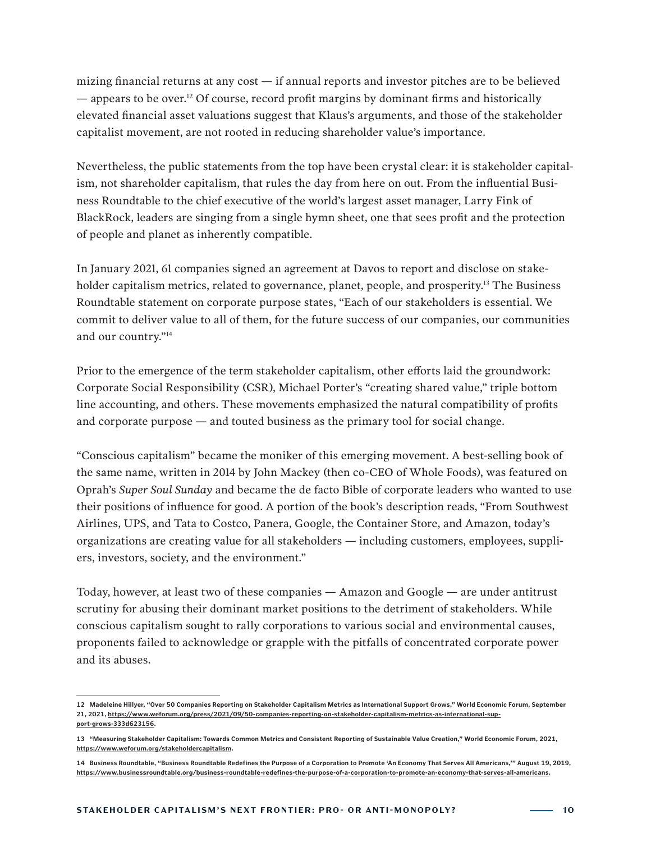mizing financial returns at any cost — if annual reports and investor pitches are to be believed — appears to be over.<sup>12</sup> Of course, record profit margins by dominant firms and historically elevated financial asset valuations suggest that Klaus's arguments, and those of the stakeholder capitalist movement, are not rooted in reducing shareholder value's importance.

Nevertheless, the public statements from the top have been crystal clear: it is stakeholder capitalism, not shareholder capitalism, that rules the day from here on out. From the influential Business Roundtable to the chief executive of the world's largest asset manager, Larry Fink of BlackRock, leaders are singing from a single hymn sheet, one that sees profit and the protection of people and planet as inherently compatible.

In January 2021, 61 companies signed an agreement at Davos to report and disclose on stakeholder capitalism metrics, related to governance, planet, people, and prosperity.<sup>13</sup> The Business Roundtable statement on corporate purpose states, "Each of our stakeholders is essential. We commit to deliver value to all of them, for the future success of our companies, our communities and our country."14

Prior to the emergence of the term stakeholder capitalism, other efforts laid the groundwork: Corporate Social Responsibility (CSR), Michael Porter's "creating shared value," triple bottom line accounting, and others. These movements emphasized the natural compatibility of profits and corporate purpose — and touted business as the primary tool for social change.

"Conscious capitalism" became the moniker of this emerging movement. A best-selling book of the same name, written in 2014 by John Mackey (then co-CEO of Whole Foods), was featured on Oprah's *Super Soul Sunday* and became the de facto Bible of corporate leaders who wanted to use their positions of influence for good. A portion of the book's description reads, "From Southwest Airlines, UPS, and Tata to Costco, Panera, Google, the Container Store, and Amazon, today's organizations are creating value for all stakeholders — including customers, employees, suppliers, investors, society, and the environment."

Today, however, at least two of these companies — Amazon and Google — are under antitrust scrutiny for abusing their dominant market positions to the detriment of stakeholders. While conscious capitalism sought to rally corporations to various social and environmental causes, proponents failed to acknowledge or grapple with the pitfalls of concentrated corporate power and its abuses.

**<sup>12</sup> Madeleine Hillyer, "Over 50 Companies Reporting on Stakeholder Capitalism Metrics as International Support Grows," World Economic Forum, September 21, 2021, [https://www.weforum.org/press/2021/09/50-companies-reporting-on-stakeholder-capitalism-metrics-as-international-sup](https://www.weforum.org/press/2021/09/50-companies-reporting-on-stakeholder-capitalism-metrics-as-international-support-grows-333d623156)[port-grows-333d623156](https://www.weforum.org/press/2021/09/50-companies-reporting-on-stakeholder-capitalism-metrics-as-international-support-grows-333d623156).**

**<sup>13 &</sup>quot;Measuring Stakeholder Capitalism: Towards Common Metrics and Consistent Reporting of Sustainable Value Creation," World Economic Forum, 2021, [https://www.weforum.org/stakeholdercapitalism.](https://www.weforum.org/stakeholdercapitalism)** 

**<sup>14</sup> Business Roundtable, "Business Roundtable Redefines the Purpose of a Corporation to Promote 'An Economy That Serves All Americans,'" August 19, 2019, <https://www.businessroundtable.org/business-roundtable-redefines-the-purpose-of-a-corporation-to-promote-an-economy-that-serves-all-americans>.**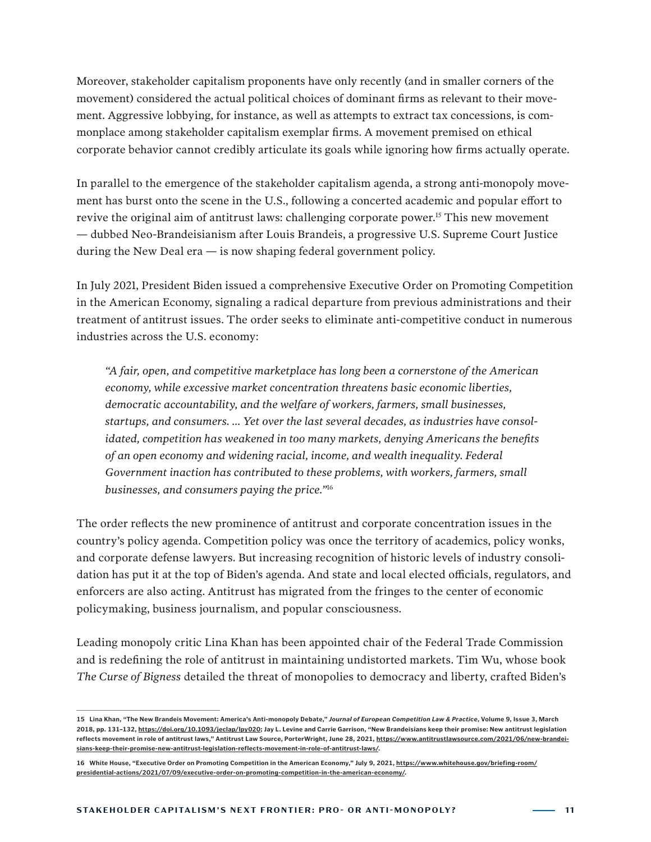Moreover, stakeholder capitalism proponents have only recently (and in smaller corners of the movement) considered the actual political choices of dominant firms as relevant to their movement. Aggressive lobbying, for instance, as well as attempts to extract tax concessions, is commonplace among stakeholder capitalism exemplar firms. A movement premised on ethical corporate behavior cannot credibly articulate its goals while ignoring how firms actually operate.

In parallel to the emergence of the stakeholder capitalism agenda, a strong anti-monopoly movement has burst onto the scene in the U.S., following a concerted academic and popular effort to revive the original aim of antitrust laws: challenging corporate power.15 This new movement — dubbed Neo-Brandeisianism after Louis Brandeis, a progressive U.S. Supreme Court Justice during the New Deal era — is now shaping federal government policy.

In July 2021, President Biden issued a comprehensive Executive Order on Promoting Competition in the American Economy, signaling a radical departure from previous administrations and their treatment of antitrust issues. The order seeks to eliminate anti-competitive conduct in numerous industries across the U.S. economy:

*"A fair, open, and competitive marketplace has long been a cornerstone of the American economy, while excessive market concentration threatens basic economic liberties, democratic accountability, and the welfare of workers, farmers, small businesses, startups, and consumers. ... Yet over the last several decades, as industries have consolidated, competition has weakened in too many markets, denying Americans the benefits of an open economy and widening racial, income, and wealth inequality. Federal Government inaction has contributed to these problems, with workers, farmers, small businesses, and consumers paying the price."*<sup>16</sup>

The order reflects the new prominence of antitrust and corporate concentration issues in the country's policy agenda. Competition policy was once the territory of academics, policy wonks, and corporate defense lawyers. But increasing recognition of historic levels of industry consolidation has put it at the top of Biden's agenda. And state and local elected officials, regulators, and enforcers are also acting. Antitrust has migrated from the fringes to the center of economic policymaking, business journalism, and popular consciousness.

Leading monopoly critic Lina Khan has been appointed chair of the Federal Trade Commission and is redefining the role of antitrust in maintaining undistorted markets. Tim Wu, whose book *The Curse of Bigness* detailed the threat of monopolies to democracy and liberty, crafted Biden's

**<sup>15</sup> Lina Khan, "The New Brandeis Movement: America's Anti-monopoly Debate,"** *Journal of European Competition Law & Practice***, Volume 9, Issue 3, March 2018, pp. 131–132,<https://doi.org/10.1093/jeclap/lpy020>; Jay L. Levine and Carrie Garrison, "New Brandeisians keep their promise: New antitrust legislation reflects movement in role of antitrust laws," Antitrust Law Source, PorterWright, June 28, 2021, [https://www.antitrustlawsource.com/2021/06/new-brandei](https://www.antitrustlawsource.com/2021/06/new-brandeisians-keep-their-promise-new-antitrust-legislation-reflects-movement-in-role-of-antitrust-laws/)[sians-keep-their-promise-new-antitrust-legislation-reflects-movement-in-role-of-antitrust-laws/.](https://www.antitrustlawsource.com/2021/06/new-brandeisians-keep-their-promise-new-antitrust-legislation-reflects-movement-in-role-of-antitrust-laws/)** 

**<sup>16</sup> White House, "Executive Order on Promoting Competition in the American Economy," July 9, 2021, [https://www.whitehouse.gov/briefing-room/](https://www.whitehouse.gov/briefing-room/presidential-actions/2021/07/09/executive-order-on-promoting-competition-in-the-american-economy/) [presidential-actions/2021/07/09/executive-order-on-promoting-competition-in-the-american-economy/.](https://www.whitehouse.gov/briefing-room/presidential-actions/2021/07/09/executive-order-on-promoting-competition-in-the-american-economy/)**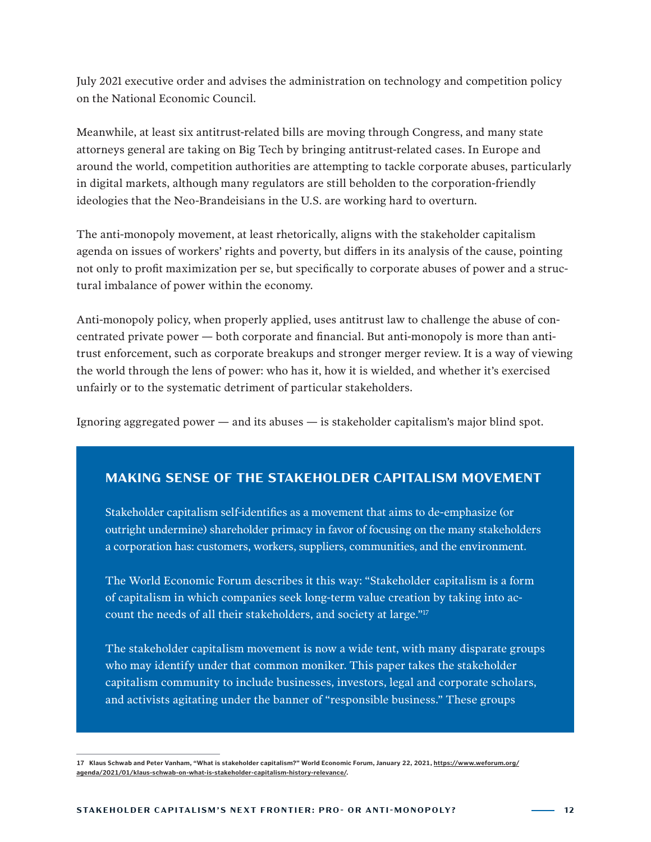<span id="page-11-0"></span>July 2021 executive order and advises the administration on technology and competition policy on the National Economic Council.

Meanwhile, at least six antitrust-related bills are moving through Congress, and many state attorneys general are taking on Big Tech by bringing antitrust-related cases. In Europe and around the world, competition authorities are attempting to tackle corporate abuses, particularly in digital markets, although many regulators are still beholden to the corporation-friendly ideologies that the Neo-Brandeisians in the U.S. are working hard to overturn.

The anti-monopoly movement, at least rhetorically, aligns with the stakeholder capitalism agenda on issues of workers' rights and poverty, but differs in its analysis of the cause, pointing not only to profit maximization per se, but specifically to corporate abuses of power and a structural imbalance of power within the economy.

Anti-monopoly policy, when properly applied, uses antitrust law to challenge the abuse of concentrated private power — both corporate and financial. But anti-monopoly is more than antitrust enforcement, such as corporate breakups and stronger merger review. It is a way of viewing the world through the lens of power: who has it, how it is wielded, and whether it's exercised unfairly or to the systematic detriment of particular stakeholders.

Ignoring aggregated power — and its abuses — is stakeholder capitalism's major blind spot.

#### **MAKING SENSE OF THE STAKEHOLDER CAPITALISM MOVEMENT**

Stakeholder capitalism self-identifies as a movement that aims to de-emphasize (or outright undermine) shareholder primacy in favor of focusing on the many stakeholders a corporation has: customers, workers, suppliers, communities, and the environment.

The World Economic Forum describes it this way: "Stakeholder capitalism is a form of capitalism in which companies seek long-term value creation by taking into account the needs of all their stakeholders, and society at large."17

The stakeholder capitalism movement is now a wide tent, with many disparate groups who may identify under that common moniker. This paper takes the stakeholder capitalism community to include businesses, investors, legal and corporate scholars, and activists agitating under the banner of "responsible business." These groups

**<sup>17</sup> Klaus Schwab and Peter Vanham, "What is stakeholder capitalism?" World Economic Forum, January 22, 2021, [https://www.weforum.org/](https://www.weforum.org/agenda/2021/01/klaus-schwab-on-what-is-stakeholder-capitalism-history-relevance/) [agenda/2021/01/klaus-schwab-on-what-is-stakeholder-capitalism-history-relevance/.](https://www.weforum.org/agenda/2021/01/klaus-schwab-on-what-is-stakeholder-capitalism-history-relevance/)**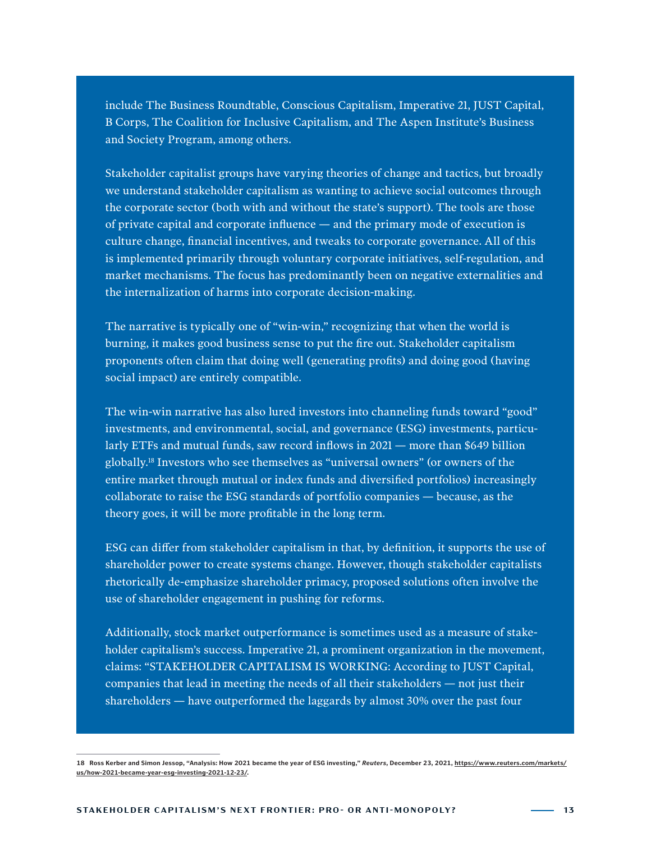include The Business Roundtable, Conscious Capitalism, Imperative 21, JUST Capital, B Corps, The Coalition for Inclusive Capitalism, and The Aspen Institute's Business and Society Program, among others.

Stakeholder capitalist groups have varying theories of change and tactics, but broadly we understand stakeholder capitalism as wanting to achieve social outcomes through the corporate sector (both with and without the state's support). The tools are those of private capital and corporate influence — and the primary mode of execution is culture change, financial incentives, and tweaks to corporate governance. All of this is implemented primarily through voluntary corporate initiatives, self-regulation, and market mechanisms. The focus has predominantly been on negative externalities and the internalization of harms into corporate decision-making.

The narrative is typically one of "win-win," recognizing that when the world is burning, it makes good business sense to put the fire out. Stakeholder capitalism proponents often claim that doing well (generating profits) and doing good (having social impact) are entirely compatible.

The win-win narrative has also lured investors into channeling funds toward "good" investments, and environmental, social, and governance (ESG) investments, particularly ETFs and mutual funds, saw record inflows in 2021 — more than \$649 billion globally.18 Investors who see themselves as "universal owners" (or owners of the entire market through mutual or index funds and diversified portfolios) increasingly collaborate to raise the ESG standards of portfolio companies — because, as the theory goes, it will be more profitable in the long term.

ESG can differ from stakeholder capitalism in that, by definition, it supports the use of shareholder power to create systems change. However, though stakeholder capitalists rhetorically de-emphasize shareholder primacy, proposed solutions often involve the use of shareholder engagement in pushing for reforms.

Additionally, stock market outperformance is sometimes used as a measure of stakeholder capitalism's success. Imperative 21, a prominent organization in the movement, claims: "STAKEHOLDER CAPITALISM IS WORKING: According to JUST Capital, companies that lead in meeting the needs of all their stakeholders — not just their shareholders — have outperformed the laggards by almost 30% over the past four

**<sup>18</sup> Ross Kerber and Simon Jessop, "Analysis: How 2021 became the year of ESG investing,"** *Reuters***, December 23, 2021, [https://www.reuters.com/markets/](https://www.reuters.com/markets/us/how-2021-became-year-esg-investing-2021-12-23/) [us/how-2021-became-year-esg-investing-2021-12-23/](https://www.reuters.com/markets/us/how-2021-became-year-esg-investing-2021-12-23/).**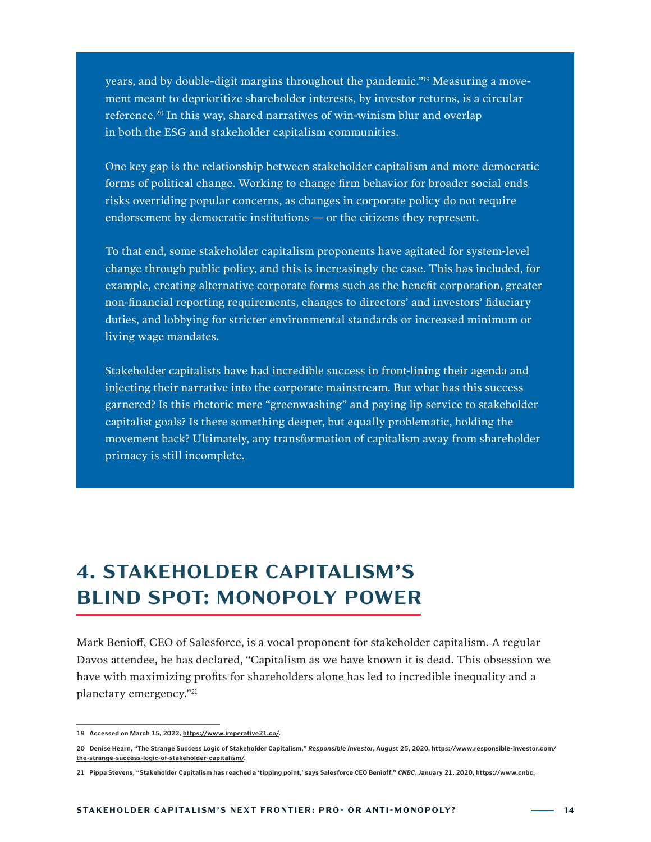<span id="page-13-0"></span>years, and by double-digit margins throughout the pandemic."19 Measuring a movement meant to deprioritize shareholder interests, by investor returns, is a circular reference.20 In this way, shared narratives of win-winism blur and overlap in both the ESG and stakeholder capitalism communities.

One key gap is the relationship between stakeholder capitalism and more democratic forms of political change. Working to change firm behavior for broader social ends risks overriding popular concerns, as changes in corporate policy do not require endorsement by democratic institutions — or the citizens they represent.

To that end, some stakeholder capitalism proponents have agitated for system-level change through public policy, and this is increasingly the case. This has included, for example, creating alternative corporate forms such as the benefit corporation, greater non-financial reporting requirements, changes to directors' and investors' fiduciary duties, and lobbying for stricter environmental standards or increased minimum or living wage mandates.

Stakeholder capitalists have had incredible success in front-lining their agenda and injecting their narrative into the corporate mainstream. But what has this success garnered? Is this rhetoric mere "greenwashing" and paying lip service to stakeholder capitalist goals? Is there something deeper, but equally problematic, holding the movement back? Ultimately, any transformation of capitalism away from shareholder primacy is still incomplete.

### **4. STAKEHOLDER CAPITALISM'S BLIND SPOT: MONOPOLY POWER**

Mark Benioff, CEO of Salesforce, is a vocal proponent for stakeholder capitalism. A regular Davos attendee, he has declared, "Capitalism as we have known it is dead. This obsession we have with maximizing profits for shareholders alone has led to incredible inequality and a planetary emergency."21

**<sup>19</sup> Accessed on March 15, 2022,<https://www.imperative21.co/>.** 

**<sup>20</sup> Denise Hearn, "The Strange Success Logic of Stakeholder Capitalism,"** *Responsible Investor***, August 25, 2020, [https://www.responsible-investor.com/](https://www.responsible-investor.com/the-strange-success-logic-of-stakeholder-capitalism/) [the-strange-success-logic-of-stakeholder-capitalism/.](https://www.responsible-investor.com/the-strange-success-logic-of-stakeholder-capitalism/)** 

**<sup>21</sup> Pippa Stevens, "Stakeholder Capitalism has reached a 'tipping point,' says Salesforce CEO Benioff,"** *CNBC***, January 21, 2020, [https://www.cnbc.](https://www.cnbc.com/2020/01/21/stakeholder-capitalism-has-reached-a-tipping-point-says-salesforce-ceo-benioff.html)**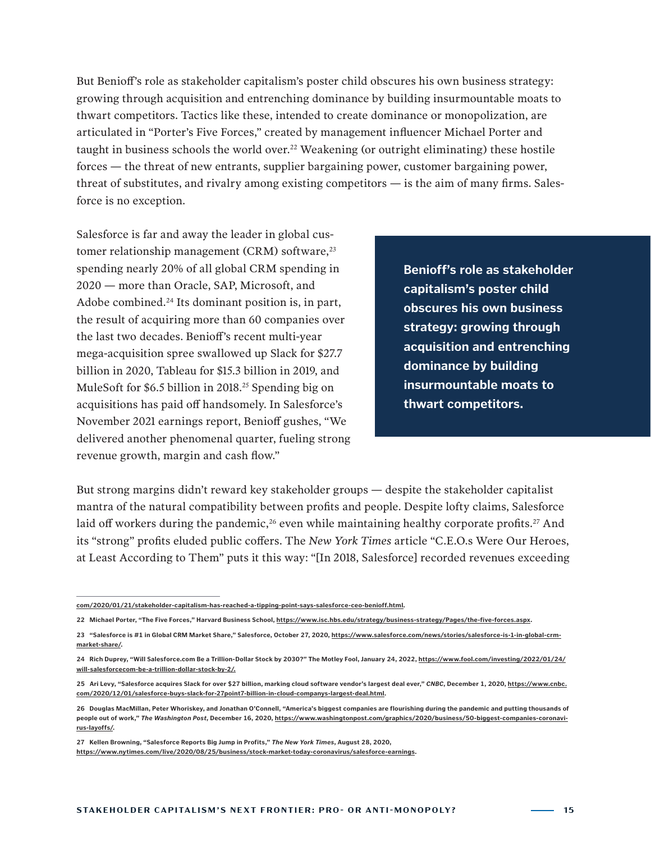But Benioff's role as stakeholder capitalism's poster child obscures his own business strategy: growing through acquisition and entrenching dominance by building insurmountable moats to thwart competitors. Tactics like these, intended to create dominance or monopolization, are articulated in "Porter's Five Forces," created by management influencer Michael Porter and taught in business schools the world over.<sup>22</sup> Weakening (or outright eliminating) these hostile forces — the threat of new entrants, supplier bargaining power, customer bargaining power, threat of substitutes, and rivalry among existing competitors — is the aim of many firms. Salesforce is no exception.

Salesforce is far and away the leader in global customer relationship management (CRM) software, $23$ spending nearly 20% of all global CRM spending in 2020 — more than Oracle, SAP, Microsoft, and Adobe combined.24 Its dominant position is, in part, the result of acquiring more than 60 companies over the last two decades. Benioff's recent multi-year mega-acquisition spree swallowed up Slack for \$27.7 billion in 2020, Tableau for \$15.3 billion in 2019, and MuleSoft for \$6.5 billion in 2018.25 Spending big on acquisitions has paid off handsomely. In Salesforce's November 2021 earnings report, Benioff gushes, "We delivered another phenomenal quarter, fueling strong revenue growth, margin and cash flow."

**Benioff's role as stakeholder capitalism's poster child obscures his own business strategy: growing through acquisition and entrenching dominance by building insurmountable moats to thwart competitors.**

But strong margins didn't reward key stakeholder groups — despite the stakeholder capitalist mantra of the natural compatibility between profits and people. Despite lofty claims, Salesforce laid off workers during the pandemic,<sup>26</sup> even while maintaining healthy corporate profits.<sup>27</sup> And its "strong" profits eluded public coffers. The *New York Times* article "C.E.O.s Were Our Heroes, at Least According to Them" puts it this way: "[In 2018, Salesforce] recorded revenues exceeding

**[com/2020/01/21/stakeholder-capitalism-has-reached-a-tipping-point-says-salesforce-ceo-benioff.html](https://www.cnbc.com/2020/01/21/stakeholder-capitalism-has-reached-a-tipping-point-says-salesforce-ceo-benioff.html).** 

**<sup>22</sup> Michael Porter, "The Five Forces," Harvard Business School,<https://www.isc.hbs.edu/strategy/business-strategy/Pages/the-five-forces.aspx>.** 

**<sup>23 &</sup>quot;Salesforce is #1 in Global CRM Market Share," Salesforce, October 27, 2020, [https://www.salesforce.com/news/stories/salesforce-is-1-in-global-crm](https://www.salesforce.com/news/stories/salesforce-is-1-in-global-crm-market-share/)[market-share/.](https://www.salesforce.com/news/stories/salesforce-is-1-in-global-crm-market-share/)** 

**<sup>24</sup> Rich Duprey, "Will Salesforce.com Be a Trillion-Dollar Stock by 2030?" The Motley Fool, January 24, 2022, [https://www.fool.com/investing/2022/01/24/](https://www.fool.com/investing/2022/01/24/will-salesforcecom-be-a-trillion-dollar-stock-by-2/) [will-salesforcecom-be-a-trillion-dollar-stock-by-2/.](https://www.fool.com/investing/2022/01/24/will-salesforcecom-be-a-trillion-dollar-stock-by-2/)**

**<sup>25</sup> Ari Levy, "Salesforce acquires Slack for over \$27 billion, marking cloud software vendor's largest deal ever,"** *CNBC***, December 1, 2020, [https://www.cnbc.](https://www.cnbc.com/2020/12/01/salesforce-buys-slack-for-27point7-billion-in-cloud-companys-largest-deal.html) [com/2020/12/01/salesforce-buys-slack-for-27point7-billion-in-cloud-companys-largest-deal.html.](https://www.cnbc.com/2020/12/01/salesforce-buys-slack-for-27point7-billion-in-cloud-companys-largest-deal.html)** 

**<sup>26</sup> Douglas MacMillan, Peter Whoriskey, and Jonathan O'Connell, "America's biggest companies are flourishing during the pandemic and putting thousands of**  people out of work," The Washington Post, December 16, 2020, [https://www.washingtonpost.com/graphics/2020/business/50-biggest-companies-coronavi](https://www.washingtonpost.com/graphics/2020/business/50-biggest-companies-coronavirus-layoffs/)**[rus-layoffs/](https://www.washingtonpost.com/graphics/2020/business/50-biggest-companies-coronavirus-layoffs/).** 

**<sup>27</sup> Kellen Browning, "Salesforce Reports Big Jump in Profits,"** *The New York Times***, August 28, 2020, <https://www.nytimes.com/live/2020/08/25/business/stock-market-today-coronavirus/salesforce-earnings>.**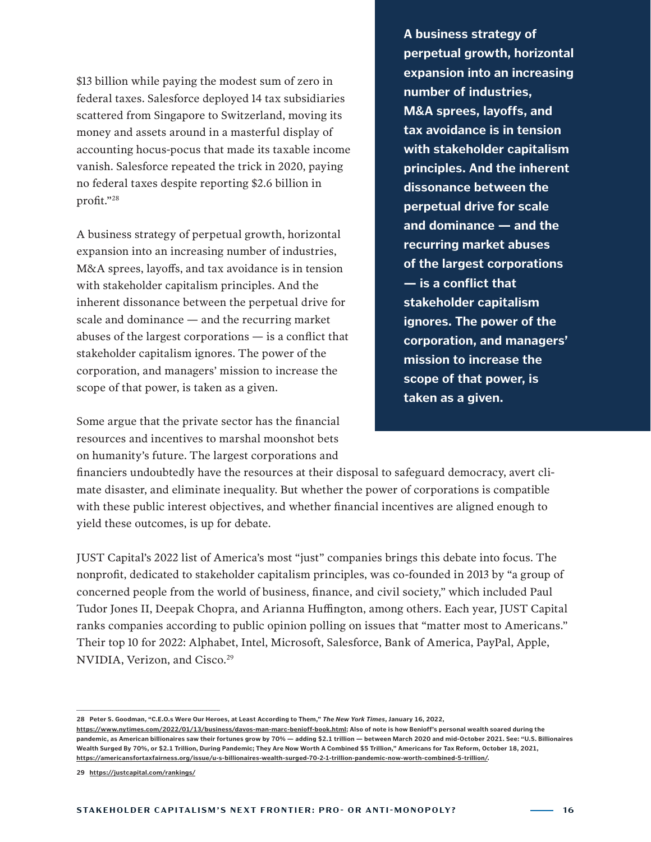\$13 billion while paying the modest sum of zero in federal taxes. Salesforce deployed 14 tax subsidiaries scattered from Singapore to Switzerland, moving its money and assets around in a masterful display of accounting hocus-pocus that made its taxable income vanish. Salesforce repeated the trick in 2020, paying no federal taxes despite reporting \$2.6 billion in profit."28

A business strategy of perpetual growth, horizontal expansion into an increasing number of industries, M&A sprees, layoffs, and tax avoidance is in tension with stakeholder capitalism principles. And the inherent dissonance between the perpetual drive for scale and dominance — and the recurring market abuses of the largest corporations  $-$  is a conflict that stakeholder capitalism ignores. The power of the corporation, and managers' mission to increase the scope of that power, is taken as a given.

Some argue that the private sector has the financial resources and incentives to marshal moonshot bets on humanity's future. The largest corporations and

**A business strategy of perpetual growth, horizontal expansion into an increasing number of industries, M&A sprees, layoffs, and tax avoidance is in tension with stakeholder capitalism principles. And the inherent dissonance between the perpetual drive for scale and dominance — and the recurring market abuses of the largest corporations — is a conflict that stakeholder capitalism ignores. The power of the corporation, and managers' mission to increase the scope of that power, is taken as a given.**

financiers undoubtedly have the resources at their disposal to safeguard democracy, avert climate disaster, and eliminate inequality. But whether the power of corporations is compatible with these public interest objectives, and whether financial incentives are aligned enough to yield these outcomes, is up for debate.

JUST Capital's 2022 list of America's most "just" companies brings this debate into focus. The nonprofit, dedicated to stakeholder capitalism principles, was co-founded in 2013 by "a group of concerned people from the world of business, finance, and civil society," which included Paul Tudor Jones II, Deepak Chopra, and Arianna Huffington, among others. Each year, JUST Capital ranks companies according to public opinion polling on issues that "matter most to Americans." Their top 10 for 2022: Alphabet, Intel, Microsoft, Salesforce, Bank of America, PayPal, Apple, NVIDIA, Verizon, and Cisco.<sup>29</sup>

**<sup>28</sup> Peter S. Goodman, "C.E.O.s Were Our Heroes, at Least According to Them,"** *The New York Times***, January 16, 2022,**

**[https://www.nytimes.com/2022/01/13/business/davos-man-marc-benioff-book.html;](https://www.nytimes.com/2022/01/13/business/davos-man-marc-benioff-book.html) Also of note is how Benioff's personal wealth soared during the pandemic, as American billionaires saw their fortunes grow by 70% — adding \$2.1 trillion — between March 2020 and mid-October 2021. See: "U.S. Billionaires Wealth Surged By 70%, or \$2.1 Trillion, During Pandemic; They Are Now Worth A Combined \$5 Trillion," Americans for Tax Reform, October 18, 2021, [https://americansfortaxfairness.org/issue/u-s-billionaires-wealth-surged-70-2-1-trillion-pandemic-now-worth-combined-5-trillion/.](https://americansfortaxfairness.org/issue/u-s-billionaires-wealth-surged-70-2-1-trillion-pandemic-now-worth-combined-5-trillion/)** 

**<sup>29</sup> <https://justcapital.com/rankings/>**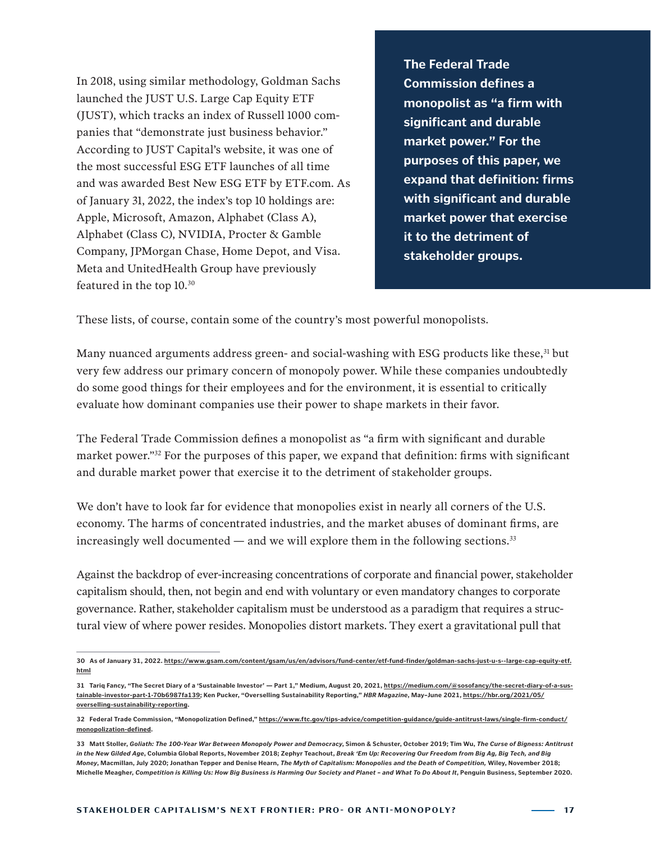In 2018, using similar methodology, Goldman Sachs launched the JUST U.S. Large Cap Equity ETF (JUST), which tracks an index of Russell 1000 companies that "demonstrate just business behavior." According to JUST Capital's website, it was one of the most successful ESG ETF launches of all time and was awarded Best New ESG ETF by ETF.com. As of January 31, 2022, the index's top 10 holdings are: Apple, Microsoft, Amazon, Alphabet (Class A), Alphabet (Class C), NVIDIA, Procter & Gamble Company, JPMorgan Chase, Home Depot, and Visa. Meta and UnitedHealth Group have previously featured in the top 10.30

**The Federal Trade Commission defines a monopolist as "a firm with significant and durable market power." For the purposes of this paper, we expand that definition: firms with significant and durable market power that exercise it to the detriment of stakeholder groups.**

These lists, of course, contain some of the country's most powerful monopolists.

Many nuanced arguments address green- and social-washing with ESG products like these, $31$  but very few address our primary concern of monopoly power. While these companies undoubtedly do some good things for their employees and for the environment, it is essential to critically evaluate how dominant companies use their power to shape markets in their favor.

The Federal Trade Commission defines a monopolist as "a firm with significant and durable market power."<sup>32</sup> For the purposes of this paper, we expand that definition: firms with significant and durable market power that exercise it to the detriment of stakeholder groups.

We don't have to look far for evidence that monopolies exist in nearly all corners of the U.S. economy. The harms of concentrated industries, and the market abuses of dominant firms, are increasingly well documented — and we will explore them in the following sections. $33$ 

Against the backdrop of ever-increasing concentrations of corporate and financial power, stakeholder capitalism should, then, not begin and end with voluntary or even mandatory changes to corporate governance. Rather, stakeholder capitalism must be understood as a paradigm that requires a structural view of where power resides. Monopolies distort markets. They exert a gravitational pull that

**<sup>30</sup> As of January 31, 2022. [https://www.gsam.com/content/gsam/us/en/advisors/fund-center/etf-fund-finder/goldman-sachs-just-u-s--large-cap-equity-etf.](https://www.gsam.com/content/gsam/us/en/advisors/fund-center/etf-fund-finder/goldman-sachs-just-u-s--large-cap-equity-etf.html) [html](https://www.gsam.com/content/gsam/us/en/advisors/fund-center/etf-fund-finder/goldman-sachs-just-u-s--large-cap-equity-etf.html)**

**<sup>31</sup> Tariq Fancy, "The Secret Diary of a 'Sustainable Investor' — Part 1," Medium, August 20, 2021, [https://medium.com/@sosofancy/the-secret-diary-of-a-sus](https://medium.com/@sosofancy/the-secret-diary-of-a-sustainable-investor-part-1-70b6987fa139)[tainable-investor-part-1-70b6987fa139](https://medium.com/@sosofancy/the-secret-diary-of-a-sustainable-investor-part-1-70b6987fa139); Ken Pucker, "Overselling Sustainability Reporting,"** *HBR Magazine***, May–June 2021, [https://hbr.org/2021/05/](https://hbr.org/2021/05/overselling-sustainability-reporting) [overselling-sustainability-reporting.](https://hbr.org/2021/05/overselling-sustainability-reporting)** 

**<sup>32</sup> Federal Trade Commission, "Monopolization Defined," [https://www.ftc.gov/tips-advice/competition-guidance/guide-antitrust-laws/single-firm-conduct/](https://www.ftc.gov/tips-advice/competition-guidance/guide-antitrust-laws/single-firm-conduct/monopolization-defined) [monopolization-defined](https://www.ftc.gov/tips-advice/competition-guidance/guide-antitrust-laws/single-firm-conduct/monopolization-defined).** 

**<sup>33</sup> Matt Stoller,** *Goliath: The 100-Year War Between Monopoly Power and Democracy***, Simon & Schuster, October 2019; Tim Wu,** *The Curse of Bigness: Antitrust in the New Gilded Age***, Columbia Global Reports, November 2018; Zephyr Teachout,** *Break 'Em Up: Recovering Our Freedom from Big Ag, Big Tech, and Big Money***, Macmillan, July 2020; Jonathan Tepper and Denise Hearn,** *The Myth of Capitalism: Monopolies and the Death of Competition,* **Wiley, November 2018; Michelle Meagher,** *Competition is Killing Us: How Big Business is Harming Our Society and Planet – and What To Do About It***, Penguin Business, September 2020.**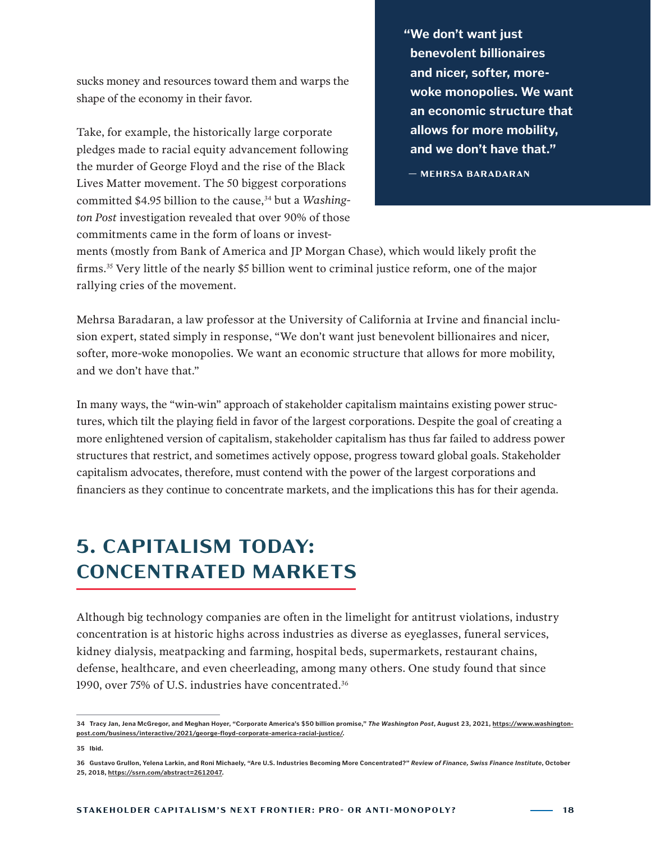<span id="page-17-0"></span>sucks money and resources toward them and warps the shape of the economy in their favor.

Take, for example, the historically large corporate pledges made to racial equity advancement following the murder of George Floyd and the rise of the Black Lives Matter movement. The 50 biggest corporations committed \$4.95 billion to the cause,<sup>34</sup> but a *Washington Post* investigation revealed that over 90% of those commitments came in the form of loans or invest**"We don't want just benevolent billionaires and nicer, softer, morewoke monopolies. We want an economic structure that allows for more mobility, and we don't have that."**

**— MEHRSA BARADARAN**

ments (mostly from Bank of America and JP Morgan Chase), which would likely profit the firms.35 Very little of the nearly \$5 billion went to criminal justice reform, one of the major rallying cries of the movement.

Mehrsa Baradaran, a law professor at the University of California at Irvine and financial inclusion expert, stated simply in response, "We don't want just benevolent billionaires and nicer, softer, more-woke monopolies. We want an economic structure that allows for more mobility, and we don't have that."

In many ways, the "win-win" approach of stakeholder capitalism maintains existing power structures, which tilt the playing field in favor of the largest corporations. Despite the goal of creating a more enlightened version of capitalism, stakeholder capitalism has thus far failed to address power structures that restrict, and sometimes actively oppose, progress toward global goals. Stakeholder capitalism advocates, therefore, must contend with the power of the largest corporations and financiers as they continue to concentrate markets, and the implications this has for their agenda.

### **5. CAPITALISM TODAY: CONCENTRATED MARKETS**

Although big technology companies are often in the limelight for antitrust violations, industry concentration is at historic highs across industries as diverse as eyeglasses, funeral services, kidney dialysis, meatpacking and farming, hospital beds, supermarkets, restaurant chains, defense, healthcare, and even cheerleading, among many others. One study found that since 1990, over 75% of U.S. industries have concentrated.<sup>36</sup>

**<sup>34</sup> Tracy Jan, Jena McGregor, and Meghan Hoyer, "Corporate America's \$50 billion promise,"** *The Washington Post***, August 23, 2021, [https://www.washington](https://www.washingtonpost.com/business/interactive/2021/george-floyd-corporate-america-racial-justice/)[post.com/business/interactive/2021/george-floyd-corporate-america-racial-justice/](https://www.washingtonpost.com/business/interactive/2021/george-floyd-corporate-america-racial-justice/).** 

**<sup>35</sup> Ibid.**

**<sup>36</sup> Gustavo Grullon, Yelena Larkin, and Roni Michaely, "Are U.S. Industries Becoming More Concentrated?"** *Review of Finance, Swiss Finance Institute***, October 25, 2018, [https://ssrn.com/abstract=2612047.](https://ssrn.com/abstract=2612047)**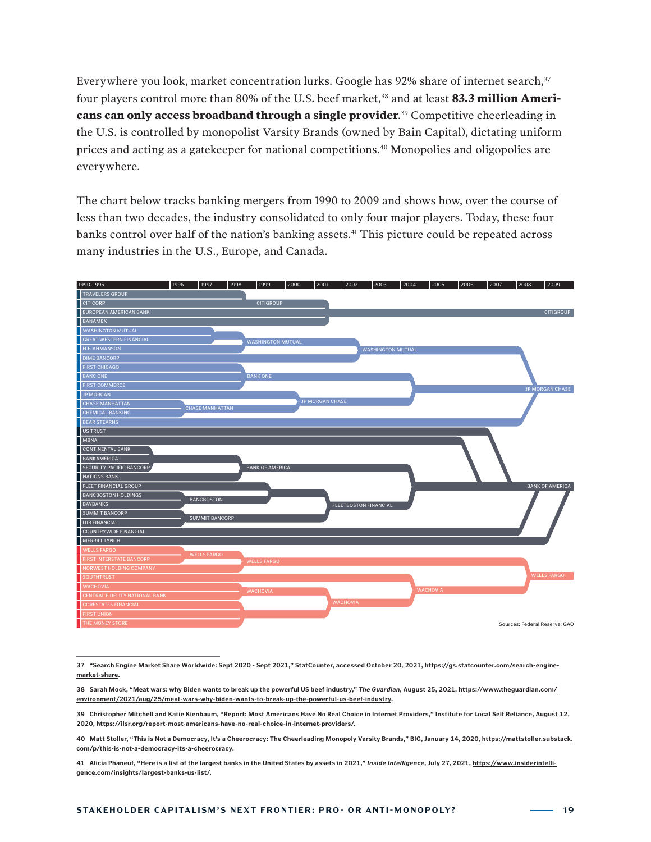Everywhere you look, market concentration lurks. Google has 92% share of internet search,<sup>37</sup> four players control more than 80% of the U.S. beef market,<sup>38</sup> and at least 83.3 million Ameri**cans can only access broadband through a single provider**. 39 Competitive cheerleading in the U.S. is controlled by monopolist Varsity Brands (owned by Bain Capital), dictating uniform prices and acting as a gatekeeper for national competitions.40 Monopolies and oligopolies are everywhere.

The chart below tracks banking mergers from 1990 to 2009 and shows how, over the course of less than two decades, the industry consolidated to only four major players. Today, these four banks control over half of the nation's banking assets.<sup>41</sup> This picture could be repeated across many industries in the U.S., Europe, and Canada.



**<sup>37 &</sup>quot;Search Engine Market Share Worldwide: Sept 2020 - Sept 2021," StatCounter, accessed October 20, 2021, [https://gs.statcounter.com/search-engine](https://gs.statcounter.com/search-engine-market-share)[market-share](https://gs.statcounter.com/search-engine-market-share).** 

**<sup>38</sup> Sarah Mock, "Meat wars: why Biden wants to break up the powerful US beef industry,"** *The Guardian***, August 25, 2021, [https://www.theguardian.com/](https://www.theguardian.com/environment/2021/aug/25/meat-wars-why-biden-wants-to-break-up-the-powerful-us-beef-industry) [environment/2021/aug/25/meat-wars-why-biden-wants-to-break-up-the-powerful-us-beef-industry](https://www.theguardian.com/environment/2021/aug/25/meat-wars-why-biden-wants-to-break-up-the-powerful-us-beef-industry).** 

**<sup>39</sup> Christopher Mitchell and Katie Kienbaum, "Report: Most Americans Have No Real Choice in Internet Providers," Institute for Local Self Reliance, August 12, 2020, [https://ilsr.org/report-most-americans-have-no-real-choice-in-internet-providers/.](https://ilsr.org/report-most-americans-have-no-real-choice-in-internet-providers/)** 

**<sup>40</sup> Matt Stoller, "This is Not a Democracy, It's a Cheerocracy: The Cheerleading Monopoly Varsity Brands," BIG, January 14, 2020, [https://mattstoller.substack.](https://mattstoller.substack.com/p/this-is-not-a-democracy-its-a-cheerocracy) [com/p/this-is-not-a-democracy-its-a-cheerocracy.](https://mattstoller.substack.com/p/this-is-not-a-democracy-its-a-cheerocracy)** 

**<sup>41</sup> Alicia Phaneuf, "Here is a list of the largest banks in the United States by assets in 2021,"** *Inside Intelligence***, July 27, 2021, [https://www.insiderintelli](https://www.insiderintelligence.com/insights/largest-banks-us-list/)[gence.com/insights/largest-banks-us-list/](https://www.insiderintelligence.com/insights/largest-banks-us-list/).**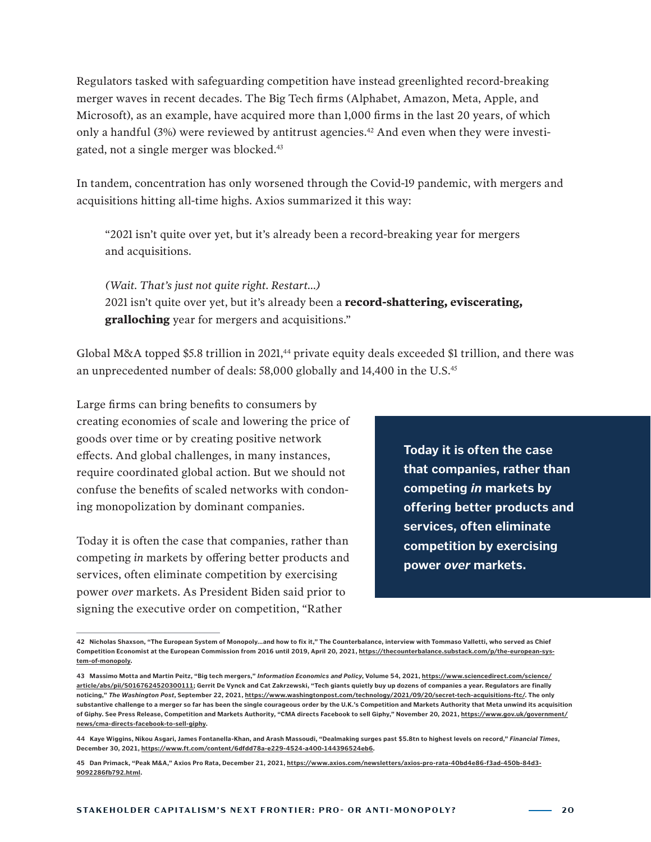Regulators tasked with safeguarding competition have instead greenlighted record-breaking merger waves in recent decades. The Big Tech firms (Alphabet, Amazon, Meta, Apple, and Microsoft), as an example, have acquired more than 1,000 firms in the last 20 years, of which only a handful (3%) were reviewed by antitrust agencies.<sup>42</sup> And even when they were investigated, not a single merger was blocked.43

In tandem, concentration has only worsened through the Covid-19 pandemic, with mergers and acquisitions hitting all-time highs. Axios summarized it this way:

"2021 isn't quite over yet, but it's already been a record-breaking year for mergers and acquisitions.

*(Wait. That's just not quite right. Restart...)* 2021 isn't quite over yet, but it's already been a **record-shattering, eviscerating, gralloching** year for mergers and acquisitions."

Global M&A topped \$5.8 trillion in 2021,<sup>44</sup> private equity deals exceeded \$1 trillion, and there was an unprecedented number of deals: 58,000 globally and 14,400 in the U.S.<sup>45</sup>

Large firms can bring benefits to consumers by creating economies of scale and lowering the price of goods over time or by creating positive network effects. And global challenges, in many instances, require coordinated global action. But we should not confuse the benefits of scaled networks with condoning monopolization by dominant companies.

Today it is often the case that companies, rather than competing *in* markets by offering better products and services, often eliminate competition by exercising power *over* markets. As President Biden said prior to signing the executive order on competition, "Rather

**Today it is often the case that companies, rather than competing** *in* **markets by offering better products and services, often eliminate competition by exercising power** *over* **markets.** 

**<sup>42</sup> Nicholas Shaxson, "The European System of Monopoly…and how to fix it," The Counterbalance, interview with Tommaso Valletti, who served as Chief**  Competition Economist at the European Commission from 2016 until 2019, April 20, 2021, [https://thecounterbalance.substack.com/p/the-european-sys](https://thecounterbalance.substack.com/p/the-european-system-of-monopoly)**[tem-of-monopoly.](https://thecounterbalance.substack.com/p/the-european-system-of-monopoly)** 

**<sup>43</sup> Massimo Motta and Martin Peitz, "Big tech mergers,"** *Information Economics and Policy***, Volume 54, 2021, [https://www.sciencedirect.com/science/](https://www.sciencedirect.com/science/article/abs/pii/S0167624520300111) [article/abs/pii/S0167624520300111](https://www.sciencedirect.com/science/article/abs/pii/S0167624520300111); Gerrit De Vynck and Cat Zakrzewski, "Tech giants quietly buy up dozens of companies a year. Regulators are finally noticing,"** *The Washington Post***, September 22, 2021, [https://www.washingtonpost.com/technology/2021/09/20/secret-tech-acquisitions-ftc/.](https://www.washingtonpost.com/technology/2021/09/20/secret-tech-acquisitions-ftc/) The only substantive challenge to a merger so far has been the single courageous order by the U.K.'s Competition and Markets Authority that Meta unwind its acquisition of Giphy. See Press Release, Competition and Markets Authority, "CMA directs Facebook to sell Giphy," November 20, 2021, https://www.gov.uk/government/ news/cma-directs-facebook-to-sell-giphy.**

**<sup>44</sup> Kaye Wiggins, Nikou Asgari, James Fontanella-Khan, and Arash Massoudi, "Dealmaking surges past \$5.8tn to highest levels on record,"** *Financial Times***, December 30, 2021, [https://www.ft.com/content/6dfdd78a-e229-4524-a400-144396524eb6.](https://www.ft.com/content/6dfdd78a-e229-4524-a400-144396524eb6)** 

**<sup>45</sup> Dan Primack, "Peak M&A," Axios Pro Rata, December 21, 2021, [https://www.axios.com/newsletters/axios-pro-rata-40bd4e86-f3ad-450b-84d3-](https://www.axios.com/newsletters/axios-pro-rata-40bd4e86-f3ad-450b-84d3-9092286fb792.html) [9092286fb792.html](https://www.axios.com/newsletters/axios-pro-rata-40bd4e86-f3ad-450b-84d3-9092286fb792.html).**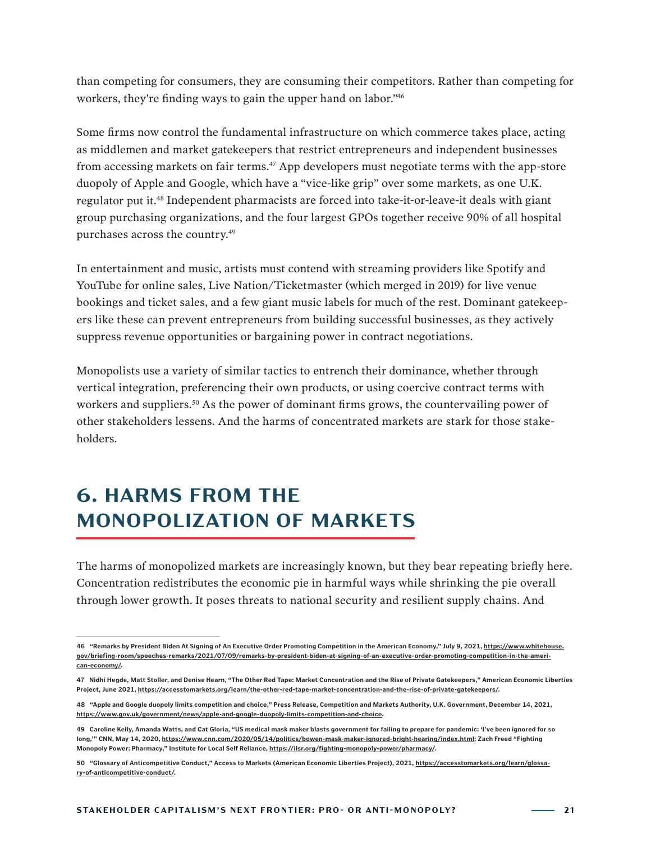<span id="page-20-0"></span>than competing for consumers, they are consuming their competitors. Rather than competing for workers, they're finding ways to gain the upper hand on labor."46

Some firms now control the fundamental infrastructure on which commerce takes place, acting as middlemen and market gatekeepers that restrict entrepreneurs and independent businesses from accessing markets on fair terms.47 App developers must negotiate terms with the app-store duopoly of Apple and Google, which have a "vice-like grip" over some markets, as one U.K. regulator put it.48 Independent pharmacists are forced into take-it-or-leave-it deals with giant group purchasing organizations, and the four largest GPOs together receive 90% of all hospital purchases across the country.49

In entertainment and music, artists must contend with streaming providers like Spotify and YouTube for online sales, Live Nation/Ticketmaster (which merged in 2019) for live venue bookings and ticket sales, and a few giant music labels for much of the rest. Dominant gatekeepers like these can prevent entrepreneurs from building successful businesses, as they actively suppress revenue opportunities or bargaining power in contract negotiations.

Monopolists use a variety of similar tactics to entrench their dominance, whether through vertical integration, preferencing their own products, or using coercive contract terms with workers and suppliers.<sup>50</sup> As the power of dominant firms grows, the countervailing power of other stakeholders lessens. And the harms of concentrated markets are stark for those stakeholders.

# **6. HARMS FROM THE MONOPOLIZATION OF MARKETS**

The harms of monopolized markets are increasingly known, but they bear repeating briefly here. Concentration redistributes the economic pie in harmful ways while shrinking the pie overall through lower growth. It poses threats to national security and resilient supply chains. And

**<sup>46 &</sup>quot;Remarks by President Biden At Signing of An Executive Order Promoting Competition in the American Economy," July 9, 2021, [https://www.whitehouse.](https://www.whitehouse.gov/briefing-room/speeches-remarks/2021/07/09/remarks-by-president-biden-at-signing-of-an-executive-order-promoting-competition-in-the-american-economy/) [gov/briefing-room/speeches-remarks/2021/07/09/remarks-by-president-biden-at-signing-of-an-executive-order-promoting-competition-in-the-ameri](https://www.whitehouse.gov/briefing-room/speeches-remarks/2021/07/09/remarks-by-president-biden-at-signing-of-an-executive-order-promoting-competition-in-the-american-economy/)[can-economy/.](https://www.whitehouse.gov/briefing-room/speeches-remarks/2021/07/09/remarks-by-president-biden-at-signing-of-an-executive-order-promoting-competition-in-the-american-economy/)** 

**<sup>47</sup> Nidhi Hegde, Matt Stoller, and Denise Hearn, "The Other Red Tape: Market Concentration and the Rise of Private Gatekeepers," American Economic Liberties Project, June 2021, [https://accesstomarkets.org/learn/the-other-red-tape-market-concentration-and-the-rise-of-private-gatekeepers/.](https://accesstomarkets.org/learn/the-other-red-tape-market-concentration-and-the-rise-of-private-gatekeepers/)** 

**<sup>48 &</sup>quot;Apple and Google duopoly limits competition and choice," Press Release, Competition and Markets Authority, U.K. Government, December 14, 2021, <https://www.gov.uk/government/news/apple-and-google-duopoly-limits-competition-and-choice>.**

**<sup>49</sup> Caroline Kelly, Amanda Watts, and Cat Gloria, "US medical mask maker blasts government for failing to prepare for pandemic: 'I've been ignored for so long,'" CNN, May 14, 2020,<https://www.cnn.com/2020/05/14/politics/bowen-mask-maker-ignored-bright-hearing/index.html>; Zach Freed "Fighting Monopoly Power: Pharmacy," Institute for Local Self Reliance, [https://ilsr.org/fighting-monopoly-power/pharmacy/.](https://ilsr.org/fighting-monopoly-power/pharmacy/)** 

**<sup>50 &</sup>quot;Glossary of Anticompetitive Conduct," Access to Markets (American Economic Liberties Project), 2021, [https://accesstomarkets.org/learn/glossa](https://accesstomarkets.org/learn/glossary-of-anticompetitive-conduct/)[ry-of-anticompetitive-conduct/.](https://accesstomarkets.org/learn/glossary-of-anticompetitive-conduct/)**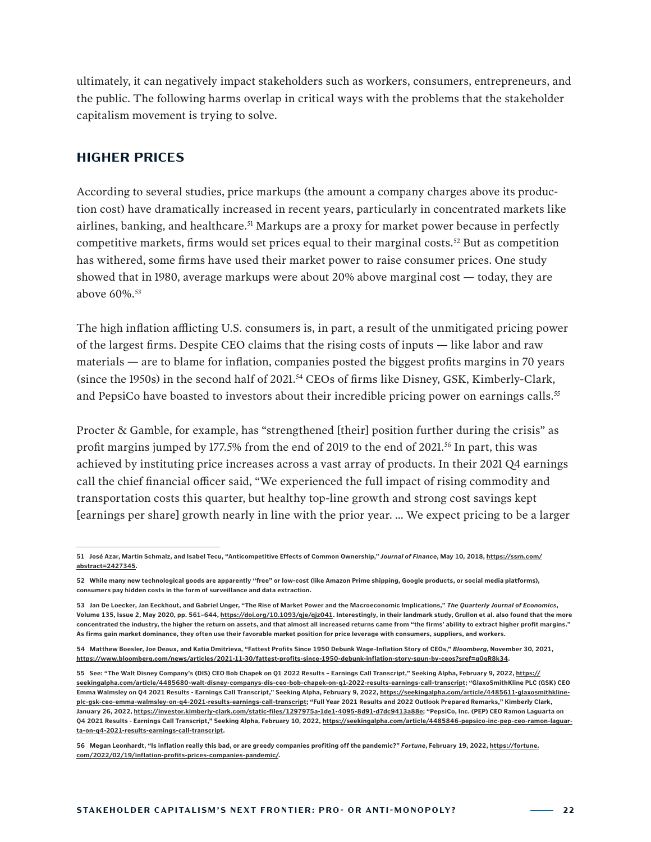<span id="page-21-0"></span>ultimately, it can negatively impact stakeholders such as workers, consumers, entrepreneurs, and the public. The following harms overlap in critical ways with the problems that the stakeholder capitalism movement is trying to solve.

#### **HIGHER PRICES**

According to several studies, price markups (the amount a company charges above its production cost) have dramatically increased in recent years, particularly in concentrated markets like airlines, banking, and healthcare.<sup>51</sup> Markups are a proxy for market power because in perfectly competitive markets, firms would set prices equal to their marginal costs.<sup>52</sup> But as competition has withered, some firms have used their market power to raise consumer prices. One study showed that in 1980, average markups were about 20% above marginal cost — today, they are above 60%.<sup>53</sup>

The high inflation afflicting U.S. consumers is, in part, a result of the unmitigated pricing power of the largest firms. Despite CEO claims that the rising costs of inputs — like labor and raw materials — are to blame for inflation, companies posted the biggest profits margins in 70 years (since the 1950s) in the second half of 2021.54 CEOs of firms like Disney, GSK, Kimberly-Clark, and PepsiCo have boasted to investors about their incredible pricing power on earnings calls.<sup>55</sup>

Procter & Gamble, for example, has "strengthened [their] position further during the crisis" as profit margins jumped by 177.5% from the end of 2019 to the end of 2021.<sup>56</sup> In part, this was achieved by instituting price increases across a vast array of products. In their 2021 Q4 earnings call the chief financial officer said, "We experienced the full impact of rising commodity and transportation costs this quarter, but healthy top-line growth and strong cost savings kept [earnings per share] growth nearly in line with the prior year. … We expect pricing to be a larger

**<sup>51</sup> José Azar, Martin Schmalz, and Isabel Tecu, "Anticompetitive Effects of Common Ownership,"** *Journal of Finance***, May 10, 2018, [https://ssrn.com/](https://ssrn.com/abstract=2427345) [abstract=2427345.](https://ssrn.com/abstract=2427345)**

**<sup>52</sup> While many new technological goods are apparently "free" or low-cost (like Amazon Prime shipping, Google products, or social media platforms), consumers pay hidden costs in the form of surveillance and data extraction.**

**<sup>53</sup> Jan De Loecker, Jan Eeckhout, and Gabriel Unger, "The Rise of Market Power and the Macroeconomic Implications,"** *The Quarterly Journal of Economics***, Volume 135, Issue 2, May 2020, pp. 561–644,<https://doi.org/10.1093/qje/qjz041>. Interestingly, in their landmark study, Grullon et al. also found that the more concentrated the industry, the higher the return on assets, and that almost all increased returns came from "the firms' ability to extract higher profit margins." As firms gain market dominance, they often use their favorable market position for price leverage with consumers, suppliers, and workers.**

**<sup>54</sup> Matthew Boesler, Joe Deaux, and Katia Dmitrieva, "Fattest Profits Since 1950 Debunk Wage-Inflation Story of CEOs,"** *Bloomberg***, November 30, 2021, <https://www.bloomberg.com/news/articles/2021-11-30/fattest-profits-since-1950-debunk-inflation-story-spun-by-ceos?sref=q0qR8k34>.**

<sup>55</sup> See: "The Walt Disney Company's (DIS) CEO Bob Chapek on Q1 2022 Results - Earnings Call Transcript," Seeking Alpha, February 9, 2022, [https://](https://seekingalpha.com/article/4485680-walt-disney-companys-dis-ceo-bob-chapek-on-q1-2022-results-earnings-call-transcript) **[seekingalpha.com/article/4485680-walt-disney-companys-dis-ceo-bob-chapek-on-q1-2022-results-earnings-call-transcript;](https://seekingalpha.com/article/4485680-walt-disney-companys-dis-ceo-bob-chapek-on-q1-2022-results-earnings-call-transcript) "GlaxoSmithKline PLC (GSK) CEO Emma Walmsley on Q4 2021 Results - Earnings Call Transcript," Seeking Alpha, February 9, 2022, [https://seekingalpha.com/article/4485611-glaxosmithkline](https://seekingalpha.com/article/4485611-glaxosmithkline-plc-gsk-ceo-emma-walmsley-on-q4-2021-results-earnings-call-transcript)[plc-gsk-ceo-emma-walmsley-on-q4-2021-results-earnings-call-transcript](https://seekingalpha.com/article/4485611-glaxosmithkline-plc-gsk-ceo-emma-walmsley-on-q4-2021-results-earnings-call-transcript); "Full Year 2021 Results and 2022 Outlook Prepared Remarks," Kimberly Clark, January 26, 2022,<https://investor.kimberly-clark.com/static-files/1297975a-1de1-4095-8d91-d7dc9413a88e>; "PepsiCo, Inc. (PEP) CEO Ramon Laguarta on Q4 2021 Results - Earnings Call Transcript," Seeking Alpha, February 10, 2022, [https://seekingalpha.com/article/4485846-pepsico-inc-pep-ceo-ramon-laguar](https://seekingalpha.com/article/4485846-pepsico-inc-pep-ceo-ramon-laguarta-on-q4-2021-results-earnings-call-transcript)[ta-on-q4-2021-results-earnings-call-transcript.](https://seekingalpha.com/article/4485846-pepsico-inc-pep-ceo-ramon-laguarta-on-q4-2021-results-earnings-call-transcript)** 

**<sup>56</sup> Megan Leonhardt, "Is inflation really this bad, or are greedy companies profiting off the pandemic?"** *Fortune***, February 19, 2022, [https://fortune.](https://fortune.com/2022/02/19/inflation-profits-prices-companies-pandemic/) [com/2022/02/19/inflation-profits-prices-companies-pandemic/.](https://fortune.com/2022/02/19/inflation-profits-prices-companies-pandemic/)**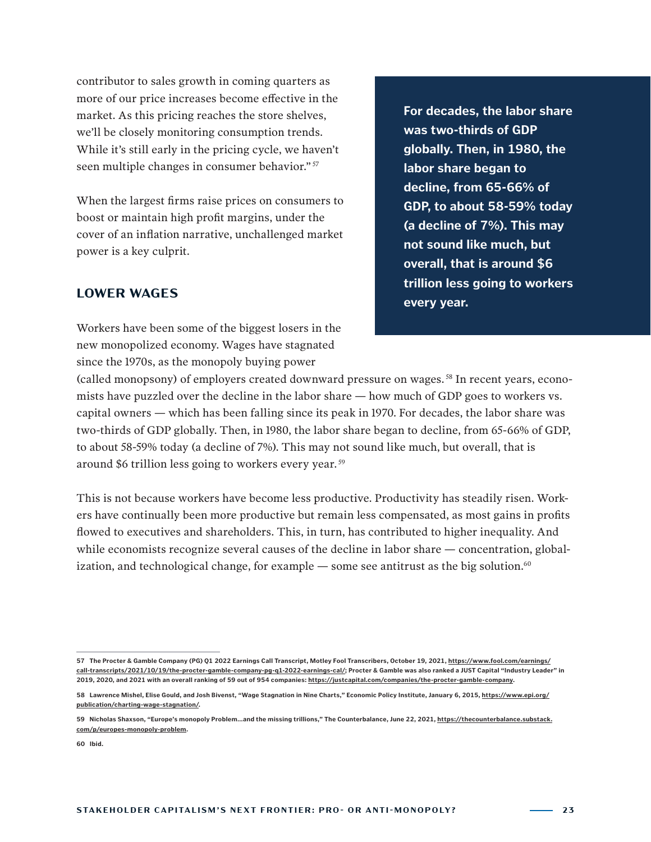<span id="page-22-0"></span>contributor to sales growth in coming quarters as more of our price increases become effective in the market. As this pricing reaches the store shelves, we'll be closely monitoring consumption trends. While it's still early in the pricing cycle, we haven't seen multiple changes in consumer behavior." 57

When the largest firms raise prices on consumers to boost or maintain high profit margins, under the cover of an inflation narrative, unchallenged market power is a key culprit.

**For decades, the labor share was two-thirds of GDP globally. Then, in 1980, the labor share began to decline, from 65-66% of GDP, to about 58-59% today (a decline of 7%). This may not sound like much, but overall, that is around \$6 trillion less going to workers every year.** 

#### **LOWER WAGES**

Workers have been some of the biggest losers in the new monopolized economy. Wages have stagnated since the 1970s, as the monopoly buying power

(called monopsony) of employers created downward pressure on wages. 58 In recent years, economists have puzzled over the decline in the labor share — how much of GDP goes to workers vs. capital owners — which has been falling since its peak in 1970*.* For decades, the labor share was two-thirds of GDP globally. Then, in 1980, the labor share began to decline, from 65-66% of GDP, to about 58-59% today (a decline of 7%). This may not sound like much, but overall, that is around \$6 trillion less going to workers every year. 59

This is not because workers have become less productive. Productivity has steadily risen. Workers have continually been more productive but remain less compensated, as most gains in profits flowed to executives and shareholders. This, in turn, has contributed to higher inequality. And while economists recognize several causes of the decline in labor share — concentration, globalization, and technological change, for example — some see antitrust as the big solution.<sup>60</sup>

**<sup>57</sup> The Procter & Gamble Company (PG) Q1 2022 Earnings Call Transcript, Motley Fool Transcribers, October 19, 2021, [https://www.fool.com/earnings/](https://www.fool.com/earnings/call-transcripts/2021/10/19/the-procter-gamble-company-pg-q1-2022-earnings-cal/) [call-transcripts/2021/10/19/the-procter-gamble-company-pg-q1-2022-earnings-cal/;](https://www.fool.com/earnings/call-transcripts/2021/10/19/the-procter-gamble-company-pg-q1-2022-earnings-cal/) Procter & Gamble was also ranked a JUST Capital "Industry Leader" in 2019, 2020, and 2021 with an overall ranking of 59 out of 954 companies: [https://justcapital.com/companies/the-procter-gamble-company.](https://justcapital.com/companies/the-procter-gamble-company)** 

**<sup>58</sup> Lawrence Mishel, Elise Gould, and Josh Bivenst, "Wage Stagnation in Nine Charts," Economic Policy Institute, January 6, 2015, [https://www.epi.org/](https://www.epi.org/publication/charting-wage-stagnation/) [publication/charting-wage-stagnation/.](https://www.epi.org/publication/charting-wage-stagnation/)** 

**<sup>59</sup> Nicholas Shaxson, "Europe's monopoly Problem…and the missing trillions," The Counterbalance, June 22, 2021, [https://thecounterbalance.substack.](https://thecounterbalance.substack.com/p/europes-monopoly-problem) [com/p/europes-monopoly-problem](https://thecounterbalance.substack.com/p/europes-monopoly-problem).**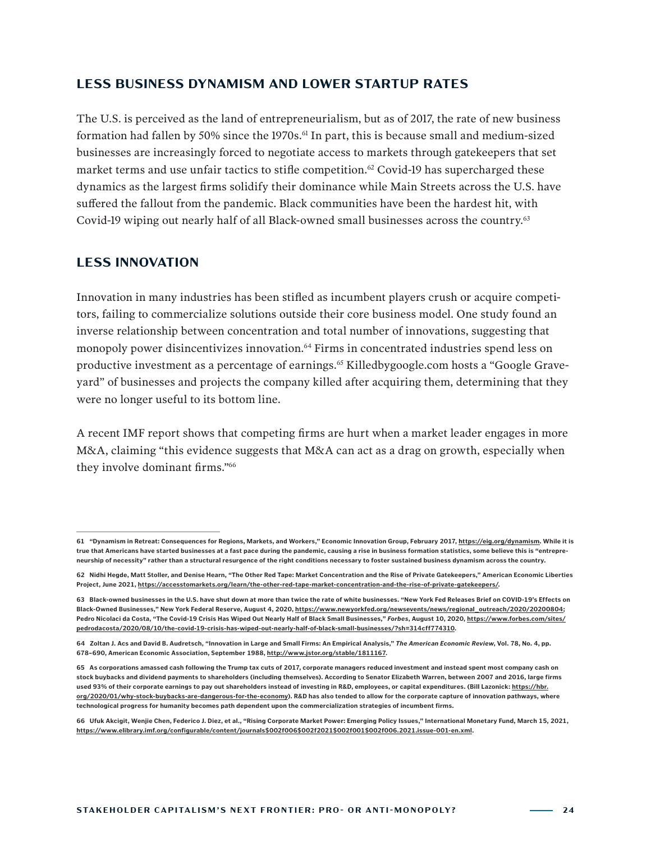#### <span id="page-23-0"></span>**LESS BUSINESS DYNAMISM AND LOWER STARTUP RATES**

The U.S. is perceived as the land of entrepreneurialism, but as of 2017, the rate of new business formation had fallen by 50% since the 1970s.<sup>61</sup> In part, this is because small and medium-sized businesses are increasingly forced to negotiate access to markets through gatekeepers that set market terms and use unfair tactics to stifle competition.<sup>62</sup> Covid-19 has supercharged these dynamics as the largest firms solidify their dominance while Main Streets across the U.S. have suffered the fallout from the pandemic. Black communities have been the hardest hit, with Covid-19 wiping out nearly half of all Black-owned small businesses across the country.<sup>63</sup>

#### **LESS INNOVATION**

Innovation in many industries has been stifled as incumbent players crush or acquire competitors, failing to commercialize solutions outside their core business model. One study found an inverse relationship between concentration and total number of innovations, suggesting that monopoly power disincentivizes innovation.64 Firms in concentrated industries spend less on productive investment as a percentage of earnings.65 Killedbygoogle.com hosts a "Google Graveyard" of businesses and projects the company killed after acquiring them, determining that they were no longer useful to its bottom line.

A recent IMF report shows that competing firms are hurt when a market leader engages in more M&A, claiming "this evidence suggests that M&A can act as a drag on growth, especially when they involve dominant firms."66

**<sup>61 &</sup>quot;Dynamism in Retreat: Consequences for Regions, Markets, and Workers," Economic Innovation Group, February 2017, [https://eig.org/dynamism.](https://eig.org/dynamism) While it is true that Americans have started businesses at a fast pace during the pandemic, causing a rise in business formation statistics, some believe this is "entrepreneurship of necessity" rather than a structural resurgence of the right conditions necessary to foster sustained business dynamism across the country.** 

**<sup>62</sup> Nidhi Hegde, Matt Stoller, and Denise Hearn, "The Other Red Tape: Market Concentration and the Rise of Private Gatekeepers," American Economic Liberties Project, June 2021, [https://accesstomarkets.org/learn/the-other-red-tape-market-concentration-and-the-rise-of-private-gatekeepers/.](https://accesstomarkets.org/learn/the-other-red-tape-market-concentration-and-the-rise-of-private-gatekeepers/)**

**<sup>63</sup> Black-owned businesses in the U.S. have shut down at more than twice the rate of white businesses. "New York Fed Releases Brief on COVID-19's Effects on Black-Owned Businesses," New York Federal Reserve, August 4, 2020, [https://www.newyorkfed.org/newsevents/news/regional\\_outreach/2020/20200804;](https://www.newyorkfed.org/newsevents/news/regional_outreach/2020/20200804) Pedro Nicolaci da Costa, "The Covid-19 Crisis Has Wiped Out Nearly Half of Black Small Businesses,"** *Forbes***, August 10, 2020, [https://www.forbes.com/sites/](https://www.forbes.com/sites/pedrodacosta/2020/08/10/the-covid-19-crisis-has-wiped-out-nearly-half-of-black-small-businesses/?sh=314cff774310) [pedrodacosta/2020/08/10/the-covid-19-crisis-has-wiped-out-nearly-half-of-black-small-businesses/?sh=314cff774310.](https://www.forbes.com/sites/pedrodacosta/2020/08/10/the-covid-19-crisis-has-wiped-out-nearly-half-of-black-small-businesses/?sh=314cff774310)**

**<sup>64</sup> Zoltan J. Acs and David B. Audretsch, "Innovation in Large and Small Firms: An Empirical Analysis,"** *The American Economic Review***, Vol. 78, No. 4, pp. 678–690, American Economic Association, September 1988, [http://www.jstor.org/stable/1811167.](http://www.jstor.org/stable/1811167)** 

**<sup>65</sup> As corporations amassed cash following the Trump tax cuts of 2017, corporate managers reduced investment and instead spent most company cash on stock buybacks and dividend payments to shareholders (including themselves). According to Senator Elizabeth Warren, between 2007 and 2016, large firms used 93% of their corporate earnings to pay out shareholders instead of investing in R&D, employees, or capital expenditures. (Bill Lazonick: [https://hbr.](https://hbr.org/2020/01/why-stock-buybacks-are-dangerous-for-the-economy) [org/2020/01/why-stock-buybacks-are-dangerous-for-the-economy\)](https://hbr.org/2020/01/why-stock-buybacks-are-dangerous-for-the-economy). R&D has also tended to allow for the corporate capture of innovation pathways, where technological progress for humanity becomes path dependent upon the commercialization strategies of incumbent firms.**

**<sup>66</sup> Ufuk Akcigit, Wenjie Chen, Federico J. Diez, et al., "Rising Corporate Market Power: Emerging Policy Issues," International Monetary Fund, March 15, 2021, [https://www.elibrary.imf.org/configurable/content/journals\\$002f006\\$002f2021\\$002f001\\$002f006.2021.issue-001-en.xml](https://www.elibrary.imf.org/configurable/content/journals$002f006$002f2021$002f001$002f006.2021.issue-001-en.xml).**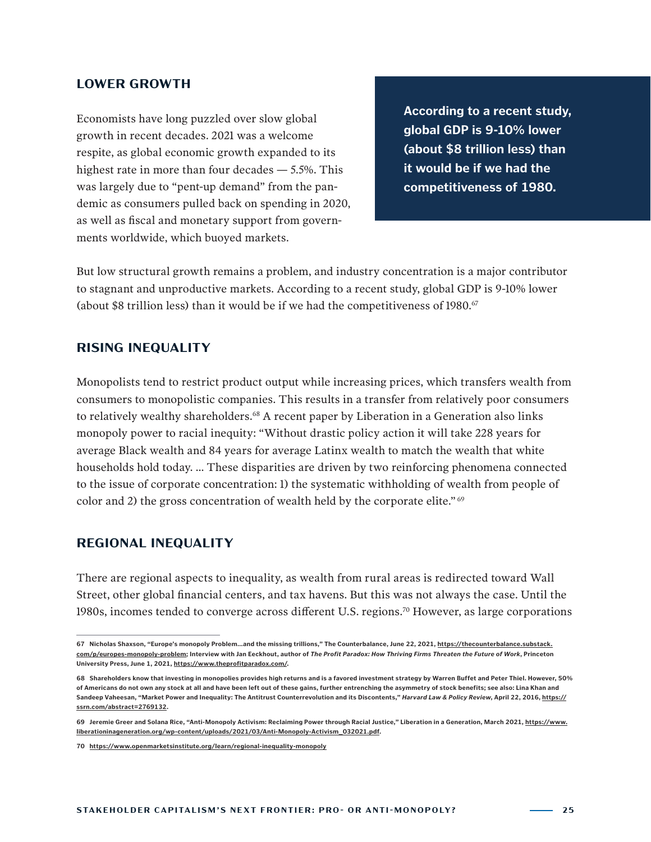#### <span id="page-24-0"></span>**LOWER GROWTH**

Economists have long puzzled over slow global growth in recent decades. 2021 was a welcome respite, as global economic growth expanded to its highest rate in more than four decades — 5.5%. This was largely due to "pent-up demand" from the pandemic as consumers pulled back on spending in 2020, as well as fiscal and monetary support from governments worldwide, which buoyed markets.

**According to a recent study, global GDP is 9-10% lower (about \$8 trillion less) than it would be if we had the competitiveness of 1980.**

But low structural growth remains a problem, and industry concentration is a major contributor to stagnant and unproductive markets. According to a recent study, global GDP is 9-10% lower (about \$8 trillion less) than it would be if we had the competitiveness of 1980.67

#### **RISING INEQUALITY**

Monopolists tend to restrict product output while increasing prices, which transfers wealth from consumers to monopolistic companies. This results in a transfer from relatively poor consumers to relatively wealthy shareholders.<sup>68</sup> A recent paper by Liberation in a Generation also links monopoly power to racial inequity: "Without drastic policy action it will take 228 years for average Black wealth and 84 years for average Latinx wealth to match the wealth that white households hold today. … These disparities are driven by two reinforcing phenomena connected to the issue of corporate concentration: 1) the systematic withholding of wealth from people of color and 2) the gross concentration of wealth held by the corporate elite." 69

#### **REGIONAL INEQUALITY**

There are regional aspects to inequality, as wealth from rural areas is redirected toward Wall Street, other global financial centers, and tax havens. But this was not always the case. Until the 1980s, incomes tended to converge across different U.S. regions.70 However, as large corporations

**<sup>67</sup> Nicholas Shaxson, "Europe's monopoly Problem…and the missing trillions," The Counterbalance, June 22, 2021, [https://thecounterbalance.substack.](https://thecounterbalance.substack.com/p/europes-monopoly-problem) [com/p/europes-monopoly-problem](https://thecounterbalance.substack.com/p/europes-monopoly-problem); Interview with Jan Eeckhout, author of** *The Profit Paradox: How Thriving Firms Threaten the Future of Work***, Princeton University Press, June 1, 2021, [https://www.theprofitparadox.com/.](https://www.theprofitparadox.com/)**

**<sup>68</sup> Shareholders know that investing in monopolies provides high returns and is a favored investment strategy by Warren Buffet and Peter Thiel. However, 50% of Americans do not own any stock at all and have been left out of these gains, further entrenching the asymmetry of stock benefits; see also: Lina Khan and Sandeep Vaheesan, "Market Power and Inequality: The Antitrust Counterrevolution and its Discontents,"** *Harvard Law & Policy Review***, April 22, 2016, [https://](https://ssrn.com/abstract=2769132) [ssrn.com/abstract=2769132.](https://ssrn.com/abstract=2769132)** 

**<sup>69</sup> Jeremie Greer and Solana Rice, "Anti-Monopoly Activism: Reclaiming Power through Racial Justice," Liberation in a Generation, March 2021, [https://www.](https://www.liberationinageneration.org/wp-content/uploads/2021/03/Anti-Monopoly-Activism_032021.pdf) [liberationinageneration.org/wp-content/uploads/2021/03/Anti-Monopoly-Activism\\_032021.pdf](https://www.liberationinageneration.org/wp-content/uploads/2021/03/Anti-Monopoly-Activism_032021.pdf).**

**<sup>70</sup> https://www.openmarketsinstitute.org/learn/regional-inequality-monopoly**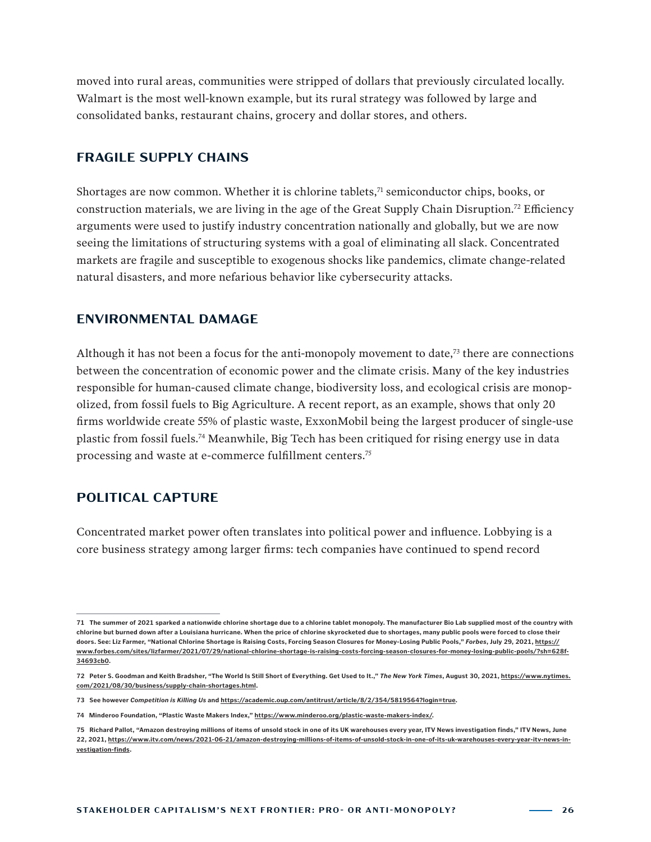<span id="page-25-0"></span>moved into rural areas, communities were stripped of dollars that previously circulated locally. Walmart is the most well-known example, but its rural strategy was followed by large and consolidated banks, restaurant chains, grocery and dollar stores, and others.

#### **FRAGILE SUPPLY CHAINS**

Shortages are now common. Whether it is chlorine tablets,<sup>71</sup> semiconductor chips, books, or construction materials, we are living in the age of the Great Supply Chain Disruption.72 Efficiency arguments were used to justify industry concentration nationally and globally, but we are now seeing the limitations of structuring systems with a goal of eliminating all slack. Concentrated markets are fragile and susceptible to exogenous shocks like pandemics, climate change-related natural disasters, and more nefarious behavior like cybersecurity attacks.

#### **ENVIRONMENTAL DAMAGE**

Although it has not been a focus for the anti-monopoly movement to date,<sup>73</sup> there are connections between the concentration of economic power and the climate crisis. Many of the key industries responsible for human-caused climate change, biodiversity loss, and ecological crisis are monopolized, from fossil fuels to Big Agriculture. A recent report, as an example, shows that only 20 firms worldwide create 55% of plastic waste, ExxonMobil being the largest producer of single-use plastic from fossil fuels.74 Meanwhile, Big Tech has been critiqued for rising energy use in data processing and waste at e-commerce fulfillment centers.75

#### **POLITICAL CAPTURE**

Concentrated market power often translates into political power and influence. Lobbying is a core business strategy among larger firms: tech companies have continued to spend record

**<sup>71</sup> The summer of 2021 sparked a nationwide chlorine shortage due to a chlorine tablet monopoly. The manufacturer Bio Lab supplied most of the country with chlorine but burned down after a Louisiana hurricane. When the price of chlorine skyrocketed due to shortages, many public pools were forced to close their doors. See: Liz Farmer, "National Chlorine Shortage is Raising Costs, Forcing Season Closures for Money-Losing Public Pools,"** *Forbes***, July 29, 2021, [https://](https://www.forbes.com/sites/lizfarmer/2021/07/29/national-chlorine-shortage-is-raising-costs-forcing-season-closures-for-money-losing-public-pools/?sh=628f34693cb0) [www.forbes.com/sites/lizfarmer/2021/07/29/national-chlorine-shortage-is-raising-costs-forcing-season-closures-for-money-losing-public-pools/?sh=628f-](https://www.forbes.com/sites/lizfarmer/2021/07/29/national-chlorine-shortage-is-raising-costs-forcing-season-closures-for-money-losing-public-pools/?sh=628f34693cb0)[34693cb0.](https://www.forbes.com/sites/lizfarmer/2021/07/29/national-chlorine-shortage-is-raising-costs-forcing-season-closures-for-money-losing-public-pools/?sh=628f34693cb0)** 

**<sup>72</sup> Peter S. Goodman and Keith Bradsher, "The World Is Still Short of Everything. Get Used to It.,"** *The New York Times***, August 30, 2021, [https://www.nytimes.](https://www.nytimes.com/2021/08/30/business/supply-chain-shortages.html) [com/2021/08/30/business/supply-chain-shortages.html.](https://www.nytimes.com/2021/08/30/business/supply-chain-shortages.html)** 

**<sup>73</sup> See however** *Competition is Killing Us* **and [https://academic.oup.com/antitrust/article/8/2/354/5819564?login=true.](https://academic.oup.com/antitrust/article/8/2/354/5819564?login=true)** 

**<sup>74</sup> Minderoo Foundation, "Plastic Waste Makers Index," <https://www.minderoo.org/plastic-waste-makers-index/>.** 

**<sup>75</sup> Richard Pallot, "Amazon destroying millions of items of unsold stock in one of its UK warehouses every year, ITV News investigation finds," ITV News, June 22, 2021, [https://www.itv.com/news/2021-06-21/amazon-destroying-millions-of-items-of-unsold-stock-in-one-of-its-uk-warehouses-every-year-itv-news-in](https://www.itv.com/news/2021-06-21/amazon-destroying-millions-of-items-of-unsold-stock-in-one-of-its-uk-warehouses-every-year-itv-news-investigation-finds)[vestigation-finds](https://www.itv.com/news/2021-06-21/amazon-destroying-millions-of-items-of-unsold-stock-in-one-of-its-uk-warehouses-every-year-itv-news-investigation-finds).**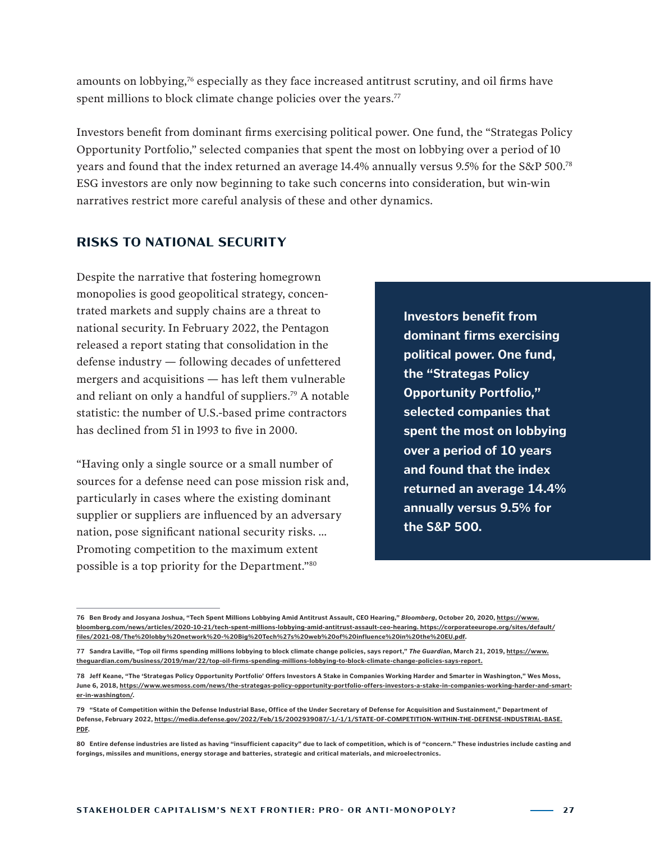<span id="page-26-0"></span>amounts on lobbying,<sup>76</sup> especially as they face increased antitrust scrutiny, and oil firms have spent millions to block climate change policies over the years.<sup>77</sup>

Investors benefit from dominant firms exercising political power. One fund, the "Strategas Policy Opportunity Portfolio," selected companies that spent the most on lobbying over a period of 10 years and found that the index returned an average 14.4% annually versus 9.5% for the S&P 500.78 ESG investors are only now beginning to take such concerns into consideration, but win-win narratives restrict more careful analysis of these and other dynamics.

#### **RISKS TO NATIONAL SECURITY**

Despite the narrative that fostering homegrown monopolies is good geopolitical strategy, concentrated markets and supply chains are a threat to national security. In February 2022, the Pentagon released a report stating that consolidation in the defense industry — following decades of unfettered mergers and acquisitions — has left them vulnerable and reliant on only a handful of suppliers.79 A notable statistic: the number of U.S.-based prime contractors has declined from 51 in 1993 to five in 2000.

"Having only a single source or a small number of sources for a defense need can pose mission risk and, particularly in cases where the existing dominant supplier or suppliers are influenced by an adversary nation, pose significant national security risks. … Promoting competition to the maximum extent possible is a top priority for the Department."80

**Investors benefit from dominant firms exercising political power. One fund, the "Strategas Policy Opportunity Portfolio," selected companies that spent the most on lobbying over a period of 10 years and found that the index returned an average 14.4% annually versus 9.5% for the S&P 500.**

**<sup>76</sup> Ben Brody and Josyana Joshua, "Tech Spent Millions Lobbying Amid Antitrust Assault, CEO Hearing,"** *Bloomberg***, October 20, 2020, [https://www.](https://www.bloomberg.com/news/articles/2020-10-21/tech-spent-millions-lobbying-amid-antitrust-assault-ceo-hearing) [bloomberg.com/news/articles/2020-10-21/tech-spent-millions-lobbying-amid-antitrust-assault-ceo-hearing](https://www.bloomberg.com/news/articles/2020-10-21/tech-spent-millions-lobbying-amid-antitrust-assault-ceo-hearing). [https://corporateeurope.org/sites/default/](https://corporateeurope.org/sites/default/files/2021-08/The%20lobby%20network%20-%20Big%20Tech%27s%20web%20of%20influence%20in%20the%20EU.pdf) [files/2021-08/The%20lobby%20network%20-%20Big%20Tech%27s%20web%20of%20influence%20in%20the%20EU.pdf.](https://corporateeurope.org/sites/default/files/2021-08/The%20lobby%20network%20-%20Big%20Tech%27s%20web%20of%20influence%20in%20the%20EU.pdf)**

**<sup>77</sup> Sandra Laville, "Top oil firms spending millions lobbying to block climate change policies, says report,"** *The Guardian***, March 21, 2019, [https://www.](https://www.theguardian.com/business/2019/mar/22/top-oil-firms-spending-millions-lobbying-to-block-climate-change-policies-says-report) [theguardian.com/business/2019/mar/22/top-oil-firms-spending-millions-lobbying-to-block-climate-change-policies-says-report](https://www.theguardian.com/business/2019/mar/22/top-oil-firms-spending-millions-lobbying-to-block-climate-change-policies-says-report).**

**<sup>78</sup> Jeff Keane, "The 'Strategas Policy Opportunity Portfolio' Offers Investors A Stake in Companies Working Harder and Smarter in Washington," Wes Moss, June 6, 2018, [https://www.wesmoss.com/news/the-strategas-policy-opportunity-portfolio-offers-investors-a-stake-in-companies-working-harder-and-smart](https://www.wesmoss.com/news/the-strategas-policy-opportunity-portfolio-offers-investors-a-stake-in-companies-working-harder-and-smarter-in-washington/)[er-in-washington/.](https://www.wesmoss.com/news/the-strategas-policy-opportunity-portfolio-offers-investors-a-stake-in-companies-working-harder-and-smarter-in-washington/)** 

**<sup>79 &</sup>quot;State of Competition within the Defense Industrial Base, Office of the Under Secretary of Defense for Acquisition and Sustainment," Department of Defense, February 2022, [https://media.defense.gov/2022/Feb/15/2002939087/-1/-1/1/STATE-OF-COMPETITION-WITHIN-THE-DEFENSE-INDUSTRIAL-BASE.](https://media.defense.gov/2022/Feb/15/2002939087/-1/-1/1/STATE-OF-COMPETITION-WITHIN-THE-DEFENSE-INDUSTRIAL-BASE.PDF) [PDF.](https://media.defense.gov/2022/Feb/15/2002939087/-1/-1/1/STATE-OF-COMPETITION-WITHIN-THE-DEFENSE-INDUSTRIAL-BASE.PDF)** 

**<sup>80</sup> Entire defense industries are listed as having "insufficient capacity" due to lack of competition, which is of "concern." These industries include casting and forgings, missiles and munitions, energy storage and batteries, strategic and critical materials, and microelectronics.**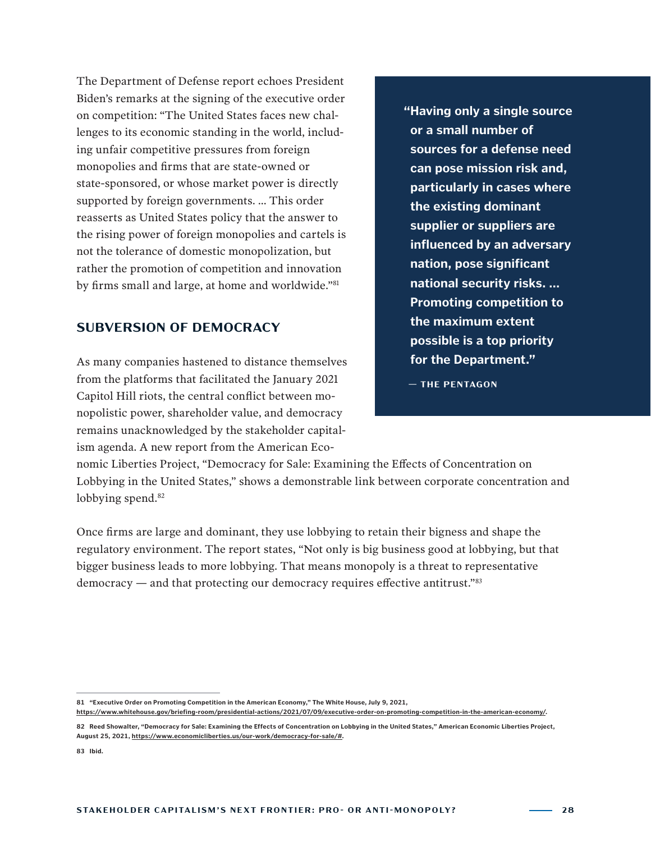<span id="page-27-0"></span>The Department of Defense report echoes President Biden's remarks at the signing of the executive order on competition: "The United States faces new challenges to its economic standing in the world, including unfair competitive pressures from foreign monopolies and firms that are state-owned or state-sponsored, or whose market power is directly supported by foreign governments. … This order reasserts as United States policy that the answer to the rising power of foreign monopolies and cartels is not the tolerance of domestic monopolization, but rather the promotion of competition and innovation by firms small and large, at home and worldwide."<sup>81</sup>

#### **SUBVERSION OF DEMOCRACY**

As many companies hastened to distance themselves from the platforms that facilitated the January 2021 Capitol Hill riots, the central conflict between monopolistic power, shareholder value, and democracy remains unacknowledged by the stakeholder capitalism agenda. A new report from the American Eco**"Having only a single source or a small number of sources for a defense need can pose mission risk and, particularly in cases where the existing dominant supplier or suppliers are influenced by an adversary nation, pose significant national security risks. … Promoting competition to the maximum extent possible is a top priority for the Department."**

**— THE PENTAGON**

nomic Liberties Project, "Democracy for Sale: Examining the Effects of Concentration on Lobbying in the United States," shows a demonstrable link between corporate concentration and lobbying spend.<sup>82</sup>

Once firms are large and dominant, they use lobbying to retain their bigness and shape the regulatory environment. The report states, "Not only is big business good at lobbying, but that bigger business leads to more lobbying. That means monopoly is a threat to representative democracy — and that protecting our democracy requires effective antitrust."83

**<sup>81 &</sup>quot;Executive Order on Promoting Competition in the American Economy," The White House, July 9, 2021,**

**<https://www.whitehouse.gov/briefing-room/presidential-actions/2021/07/09/executive-order-on-promoting-competition-in-the-american-economy/>.** 

**<sup>82</sup> Reed Showalter, "Democracy for Sale: Examining the Effects of Concentration on Lobbying in the United States," American Economic Liberties Project, August 25, 2021, [https://www.economicliberties.us/our-work/democracy-for-sale/#.](https://www.economicliberties.us/our-work/democracy-for-sale/)** 

**<sup>83</sup> Ibid.**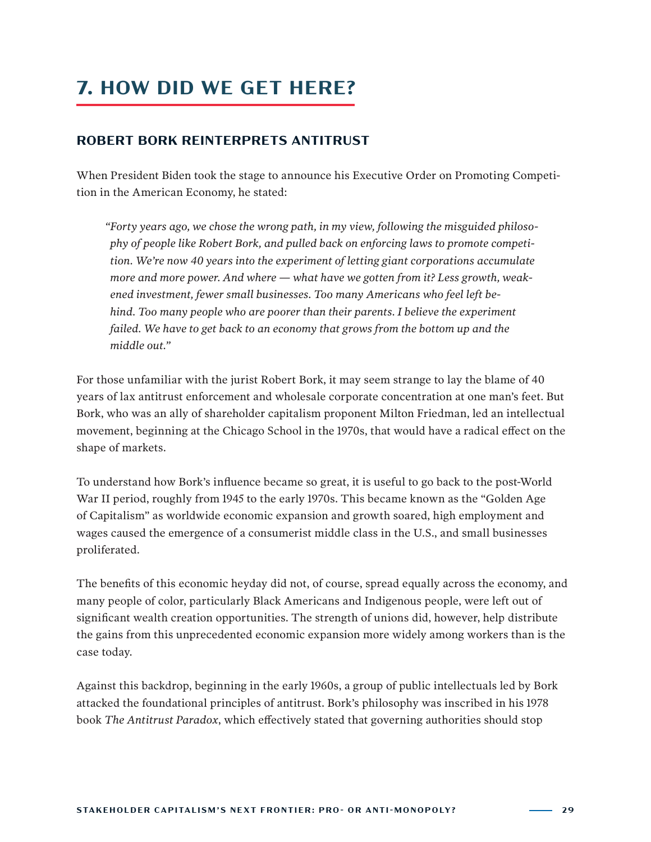## <span id="page-28-0"></span>**7. HOW DID WE GET HERE?**

#### **ROBERT BORK REINTERPRETS ANTITRUST**

When President Biden took the stage to announce his Executive Order on Promoting Competition in the American Economy, he stated:

*"Forty years ago, we chose the wrong path, in my view, following the misguided philosophy of people like Robert Bork, and pulled back on enforcing laws to promote competition. We're now 40 years into the experiment of letting giant corporations accumulate more and more power. And where — what have we gotten from it? Less growth, weakened investment, fewer small businesses. Too many Americans who feel left behind. Too many people who are poorer than their parents. I believe the experiment failed. We have to get back to an economy that grows from the bottom up and the middle out."* 

For those unfamiliar with the jurist Robert Bork, it may seem strange to lay the blame of 40 years of lax antitrust enforcement and wholesale corporate concentration at one man's feet. But Bork, who was an ally of shareholder capitalism proponent Milton Friedman, led an intellectual movement, beginning at the Chicago School in the 1970s, that would have a radical effect on the shape of markets.

To understand how Bork's influence became so great, it is useful to go back to the post-World War II period, roughly from 1945 to the early 1970s. This became known as the "Golden Age of Capitalism" as worldwide economic expansion and growth soared, high employment and wages caused the emergence of a consumerist middle class in the U.S., and small businesses proliferated.

The benefits of this economic heyday did not, of course, spread equally across the economy, and many people of color, particularly Black Americans and Indigenous people, were left out of significant wealth creation opportunities. The strength of unions did, however, help distribute the gains from this unprecedented economic expansion more widely among workers than is the case today.

Against this backdrop, beginning in the early 1960s, a group of public intellectuals led by Bork attacked the foundational principles of antitrust. Bork's philosophy was inscribed in his 1978 book *The Antitrust Paradox*, which effectively stated that governing authorities should stop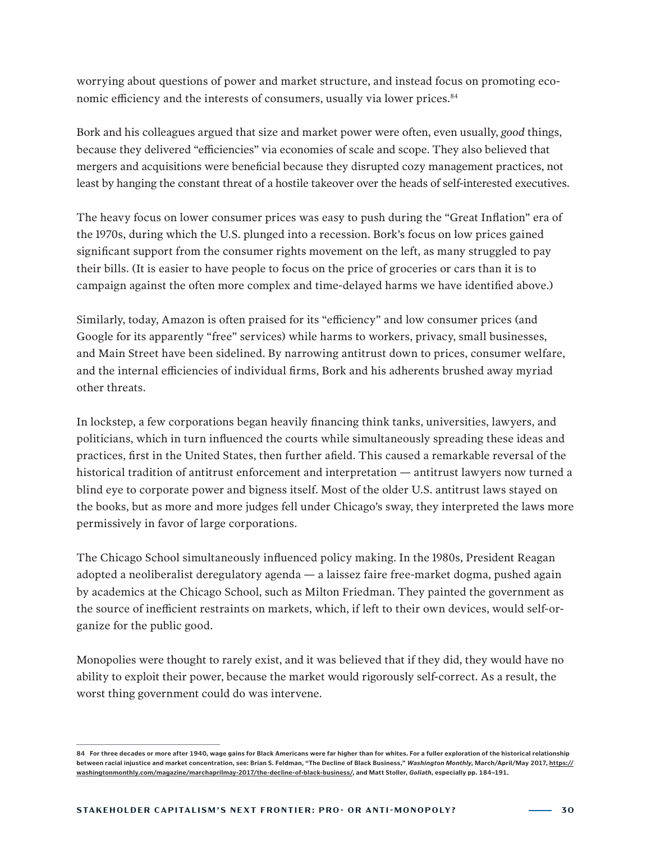worrying about questions of power and market structure, and instead focus on promoting economic efficiency and the interests of consumers, usually via lower prices.<sup>84</sup>

Bork and his colleagues argued that size and market power were often, even usually, *good* things, because they delivered "efficiencies" via economies of scale and scope. They also believed that mergers and acquisitions were beneficial because they disrupted cozy management practices, not least by hanging the constant threat of a hostile takeover over the heads of self-interested executives.

The heavy focus on lower consumer prices was easy to push during the "Great Inflation" era of the 1970s, during which the U.S. plunged into a recession. Bork's focus on low prices gained significant support from the consumer rights movement on the left, as many struggled to pay their bills. (It is easier to have people to focus on the price of groceries or cars than it is to campaign against the often more complex and time-delayed harms we have identified above.)

Similarly, today, Amazon is often praised for its "efficiency" and low consumer prices (and Google for its apparently "free" services) while harms to workers, privacy, small businesses, and Main Street have been sidelined. By narrowing antitrust down to prices, consumer welfare, and the internal efficiencies of individual firms, Bork and his adherents brushed away myriad other threats.

In lockstep, a few corporations began heavily financing think tanks, universities, lawyers, and politicians, which in turn influenced the courts while simultaneously spreading these ideas and practices, first in the United States, then further afield. This caused a remarkable reversal of the historical tradition of antitrust enforcement and interpretation — antitrust lawyers now turned a blind eye to corporate power and bigness itself. Most of the older U.S. antitrust laws stayed on the books, but as more and more judges fell under Chicago's sway, they interpreted the laws more permissively in favor of large corporations.

The Chicago School simultaneously influenced policy making. In the 1980s, President Reagan adopted a neoliberalist deregulatory agenda — a laissez faire free-market dogma, pushed again by academics at the Chicago School, such as Milton Friedman. They painted the government as the source of inefficient restraints on markets, which, if left to their own devices, would self-organize for the public good.

Monopolies were thought to rarely exist, and it was believed that if they did, they would have no ability to exploit their power, because the market would rigorously self-correct. As a result, the worst thing government could do was intervene.

**<sup>84</sup> For three decades or more after 1940, wage gains for Black Americans were far higher than for whites. For a fuller exploration of the historical relationship between racial injustice and market concentration, see: Brian S. Feldman, "The Decline of Black Business,"** *Washington Monthly***, March/April/May 2017, [https://](https://washingtonmonthly.com/magazine/marchaprilmay-2017/the-decline-of-black-business/) [washingtonmonthly.com/magazine/marchaprilmay-2017/the-decline-of-black-business/,](https://washingtonmonthly.com/magazine/marchaprilmay-2017/the-decline-of-black-business/) and Matt Stoller,** *Goliath***, especially pp. 184–191.**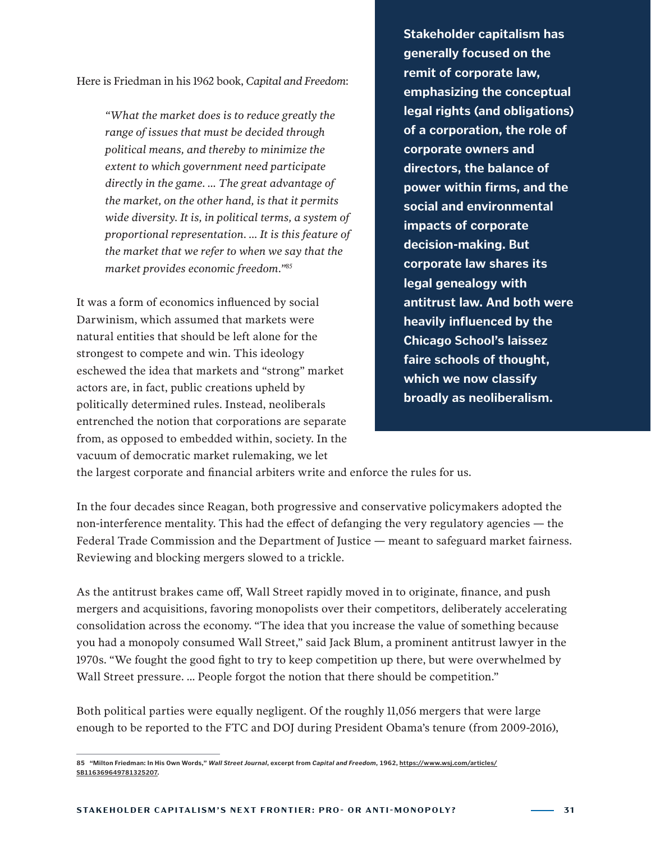Here is Friedman in his 1962 book, *Capital and Freedom*:

*"What the market does is to reduce greatly the range of issues that must be decided through political means, and thereby to minimize the extent to which government need participate directly in the game. … The great advantage of the market, on the other hand, is that it permits wide diversity. It is, in political terms, a system of proportional representation. ... It is this feature of the market that we refer to when we say that the market provides economic freedom."*<sup>85</sup>

It was a form of economics influenced by social Darwinism, which assumed that markets were natural entities that should be left alone for the strongest to compete and win. This ideology eschewed the idea that markets and "strong" market actors are, in fact, public creations upheld by politically determined rules. Instead, neoliberals entrenched the notion that corporations are separate from, as opposed to embedded within, society. In the vacuum of democratic market rulemaking, we let

**Stakeholder capitalism has generally focused on the remit of corporate law, emphasizing the conceptual legal rights (and obligations) of a corporation, the role of corporate owners and directors, the balance of power within firms, and the social and environmental impacts of corporate decision-making. But corporate law shares its legal genealogy with antitrust law. And both were heavily influenced by the Chicago School's laissez faire schools of thought, which we now classify broadly as neoliberalism.** 

the largest corporate and financial arbiters write and enforce the rules for us.

In the four decades since Reagan, both progressive and conservative policymakers adopted the non-interference mentality. This had the effect of defanging the very regulatory agencies — the Federal Trade Commission and the Department of Justice — meant to safeguard market fairness. Reviewing and blocking mergers slowed to a trickle.

As the antitrust brakes came off, Wall Street rapidly moved in to originate, finance, and push mergers and acquisitions, favoring monopolists over their competitors, deliberately accelerating consolidation across the economy. "The idea that you increase the value of something because you had a monopoly consumed Wall Street," said Jack Blum, a prominent antitrust lawyer in the 1970s. "We fought the good fight to try to keep competition up there, but were overwhelmed by Wall Street pressure. … People forgot the notion that there should be competition."

Both political parties were equally negligent. Of the roughly 11,056 mergers that were large enough to be reported to the FTC and DOJ during President Obama's tenure (from 2009-2016),

**<sup>85 &</sup>quot;Milton Friedman: In His Own Words,"** *Wall Street Journal***, excerpt from** *Capital and Freedom***, 1962, [https://www.wsj.com/articles/](https://www.wsj.com/articles/SB116369649781325207) [SB116369649781325207](https://www.wsj.com/articles/SB116369649781325207).**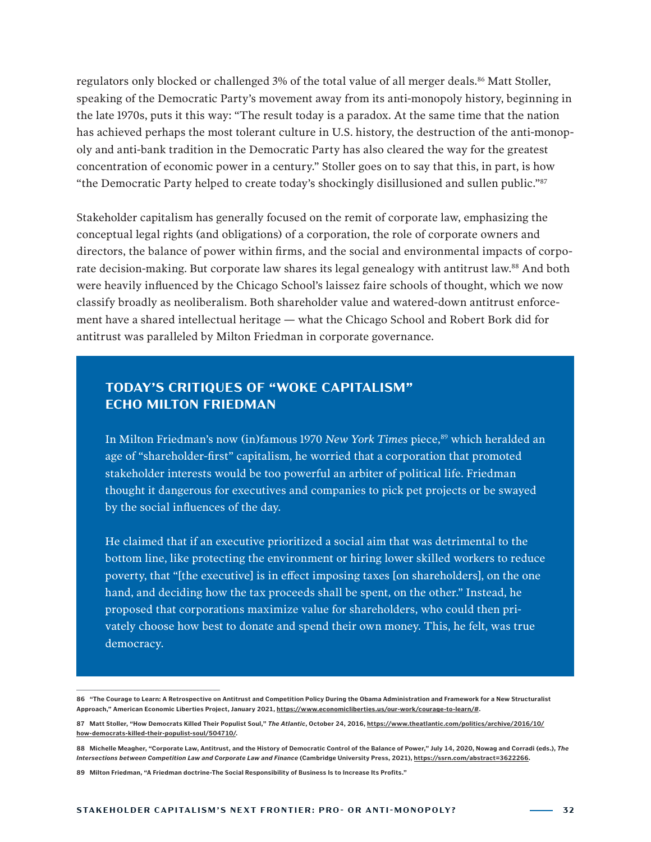<span id="page-31-0"></span>regulators only blocked or challenged 3% of the total value of all merger deals.<sup>86</sup> Matt Stoller, speaking of the Democratic Party's movement away from its anti-monopoly history, beginning in the late 1970s, puts it this way: "The result today is a paradox. At the same time that the nation has achieved perhaps the most tolerant culture in U.S. history, the destruction of the anti-monopoly and anti-bank tradition in the Democratic Party has also cleared the way for the greatest concentration of economic power in a century." Stoller goes on to say that this, in part, is how "the Democratic Party helped to create today's shockingly disillusioned and sullen public."87

Stakeholder capitalism has generally focused on the remit of corporate law, emphasizing the conceptual legal rights (and obligations) of a corporation, the role of corporate owners and directors, the balance of power within firms, and the social and environmental impacts of corporate decision-making. But corporate law shares its legal genealogy with antitrust law.<sup>88</sup> And both were heavily influenced by the Chicago School's laissez faire schools of thought, which we now classify broadly as neoliberalism. Both shareholder value and watered-down antitrust enforcement have a shared intellectual heritage — what the Chicago School and Robert Bork did for antitrust was paralleled by Milton Friedman in corporate governance.

#### **TODAY'S CRITIQUES OF "WOKE CAPITALISM" ECHO MILTON FRIEDMAN**

In Milton Friedman's now (in)famous 1970 *New York Times* piece,<sup>89</sup> which heralded an age of "shareholder-first" capitalism, he worried that a corporation that promoted stakeholder interests would be too powerful an arbiter of political life. Friedman thought it dangerous for executives and companies to pick pet projects or be swayed by the social influences of the day.

He claimed that if an executive prioritized a social aim that was detrimental to the bottom line, like protecting the environment or hiring lower skilled workers to reduce poverty, that "[the executive] is in effect imposing taxes [on shareholders], on the one hand, and deciding how the tax proceeds shall be spent, on the other." Instead, he proposed that corporations maximize value for shareholders, who could then privately choose how best to donate and spend their own money. This, he felt, was true democracy.

**<sup>86 &</sup>quot;The Courage to Learn: A Retrospective on Antitrust and Competition Policy During the Obama Administration and Framework for a New Structuralist Approach," American Economic Liberties Project, January 2021, [https://www.economicliberties.us/our-work/courage-to-learn/#.](https://www.economicliberties.us/our-work/courage-to-learn/)** 

**<sup>87</sup> Matt Stoller, "How Democrats Killed Their Populist Soul,"** *The Atlantic***, October 24, 2016, [https://www.theatlantic.com/politics/archive/2016/10/](https://www.theatlantic.com/politics/archive/2016/10/how-democrats-killed-their-populist-soul/504710/) [how-democrats-killed-their-populist-soul/504710/.](https://www.theatlantic.com/politics/archive/2016/10/how-democrats-killed-their-populist-soul/504710/)** 

**<sup>88</sup> Michelle Meagher, "Corporate Law, Antitrust, and the History of Democratic Control of the Balance of Power," July 14, 2020, Nowag and Corradi (eds.),** *The Intersections between Competition Law and Corporate Law and Finance* **(Cambridge University Press, 2021),<https://ssrn.com/abstract=3622266>.**

**<sup>89</sup> Milton Friedman, "A Friedman doctrine-The Social Responsibility of Business Is to Increase Its Profits."**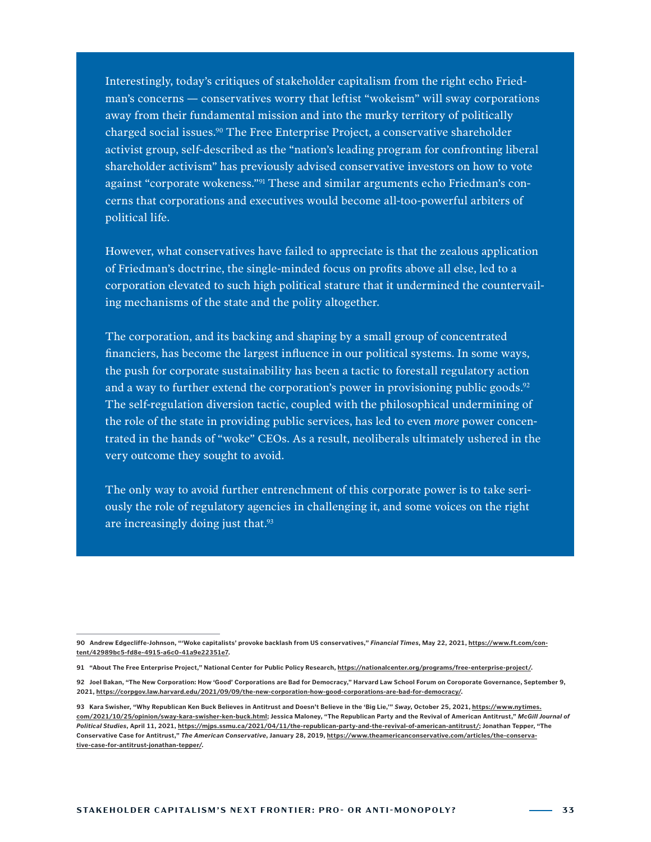Interestingly, today's critiques of stakeholder capitalism from the right echo Friedman's concerns — conservatives worry that leftist "wokeism" will sway corporations away from their fundamental mission and into the murky territory of politically charged social issues.90 The Free Enterprise Project, a conservative shareholder activist group, self-described as the "nation's leading program for confronting liberal shareholder activism" has previously advised conservative investors on how to vote against "corporate wokeness."91 These and similar arguments echo Friedman's concerns that corporations and executives would become all-too-powerful arbiters of political life.

However, what conservatives have failed to appreciate is that the zealous application of Friedman's doctrine, the single-minded focus on profits above all else, led to a corporation elevated to such high political stature that it undermined the countervailing mechanisms of the state and the polity altogether.

The corporation, and its backing and shaping by a small group of concentrated financiers, has become the largest influence in our political systems. In some ways, the push for corporate sustainability has been a tactic to forestall regulatory action and a way to further extend the corporation's power in provisioning public goods.<sup>92</sup> The self-regulation diversion tactic, coupled with the philosophical undermining of the role of the state in providing public services, has led to even *more* power concentrated in the hands of "woke" CEOs. As a result, neoliberals ultimately ushered in the very outcome they sought to avoid.

The only way to avoid further entrenchment of this corporate power is to take seriously the role of regulatory agencies in challenging it, and some voices on the right are increasingly doing just that.93

**<sup>90</sup> Andrew Edgecliffe-Johnson, "'Woke capitalists' provoke backlash from US conservatives,"** *Financial Times***, May 22, 2021, [https://www.ft.com/con](https://www.ft.com/content/42989bc5-fd8e-4915-a6c0-41a9e22351e7)[tent/42989bc5-fd8e-4915-a6c0-41a9e22351e7.](https://www.ft.com/content/42989bc5-fd8e-4915-a6c0-41a9e22351e7)** 

**<sup>91 &</sup>quot;About The Free Enterprise Project," National Center for Public Policy Research, [https://nationalcenter.org/programs/free-enterprise-project/.](https://nationalcenter.org/programs/free-enterprise-project/)** 

**<sup>92</sup> Joel Bakan, "The New Corporation: How 'Good' Corporations are Bad for Democracy," Harvard Law School Forum on Coroporate Governance, September 9, 2021, [https://corpgov.law.harvard.edu/2021/09/09/the-new-corporation-how-good-corporations-are-bad-for-democracy/.](https://corpgov.law.harvard.edu/2021/09/09/the-new-corporation-how-good-corporations-are-bad-for-democracy/)** 

**<sup>93</sup> Kara Swisher, "Why Republican Ken Buck Believes in Antitrust and Doesn't Believe in the 'Big Lie,'"** *Sway***, October 25, 2021, [https://www.nytimes.](https://www.nytimes.com/2021/10/25/opinion/sway-kara-swisher-ken-buck.html) [com/2021/10/25/opinion/sway-kara-swisher-ken-buck.html](https://www.nytimes.com/2021/10/25/opinion/sway-kara-swisher-ken-buck.html); Jessica Maloney, "The Republican Party and the Revival of American Antitrust,"** *McGill Journal of Political Studies***, April 11, 2021, [https://mjps.ssmu.ca/2021/04/11/the-republican-party-and-the-revival-of-american-antitrust/;](https://mjps.ssmu.ca/2021/04/11/the-republican-party-and-the-revival-of-american-antitrust/) Jonathan Tepper, "The Conservative Case for Antitrust,"** *The American Conservative***, January 28, 2019, [https://www.theamericanconservative.com/articles/the-conserva](https://www.theamericanconservative.com/articles/the-conservative-case-for-antitrust-jonathan-tepper/)[tive-case-for-antitrust-jonathan-tepper/.](https://www.theamericanconservative.com/articles/the-conservative-case-for-antitrust-jonathan-tepper/)**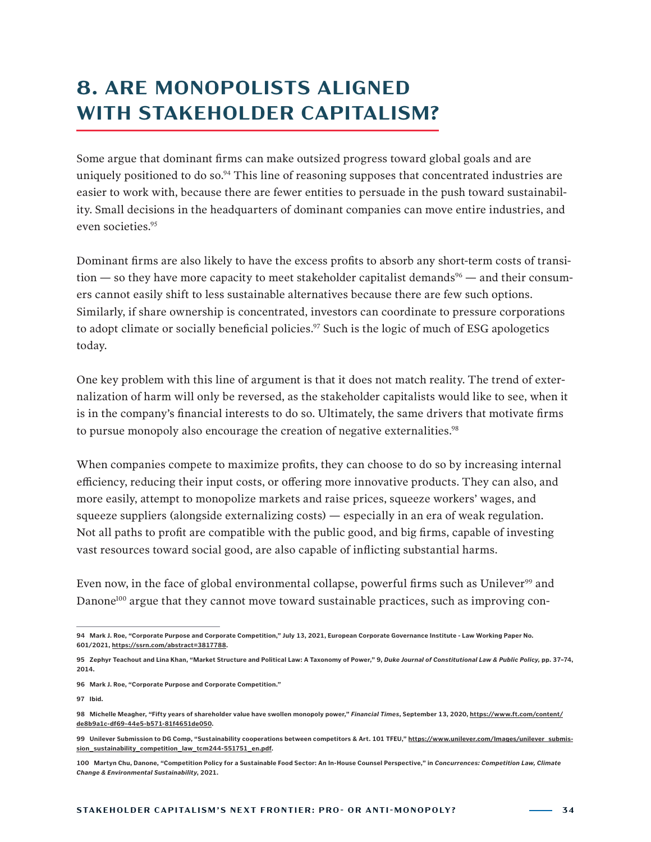### <span id="page-33-0"></span>**8. ARE MONOPOLISTS ALIGNED WITH STAKEHOLDER CAPITALISM?**

Some argue that dominant firms can make outsized progress toward global goals and are uniquely positioned to do so.<sup>94</sup> This line of reasoning supposes that concentrated industries are easier to work with, because there are fewer entities to persuade in the push toward sustainability. Small decisions in the headquarters of dominant companies can move entire industries, and even societies.95

Dominant firms are also likely to have the excess profits to absorb any short-term costs of transition — so they have more capacity to meet stakeholder capitalist demands<sup>96</sup> — and their consumers cannot easily shift to less sustainable alternatives because there are few such options. Similarly, if share ownership is concentrated, investors can coordinate to pressure corporations to adopt climate or socially beneficial policies.<sup>97</sup> Such is the logic of much of ESG apologetics today.

One key problem with this line of argument is that it does not match reality. The trend of externalization of harm will only be reversed, as the stakeholder capitalists would like to see, when it is in the company's financial interests to do so. Ultimately, the same drivers that motivate firms to pursue monopoly also encourage the creation of negative externalities.<sup>98</sup>

When companies compete to maximize profits, they can choose to do so by increasing internal efficiency, reducing their input costs, or offering more innovative products. They can also, and more easily, attempt to monopolize markets and raise prices, squeeze workers' wages, and squeeze suppliers (alongside externalizing costs) — especially in an era of weak regulation. Not all paths to profit are compatible with the public good, and big firms, capable of investing vast resources toward social good, are also capable of inflicting substantial harms.

Even now, in the face of global environmental collapse, powerful firms such as Unilever<sup>99</sup> and Danone<sup>100</sup> argue that they cannot move toward sustainable practices, such as improving con-

**<sup>94</sup> Mark J. Roe, "Corporate Purpose and Corporate Competition," July 13, 2021, European Corporate Governance Institute - Law Working Paper No. 601/2021, [https://ssrn.com/abstract=3817788.](https://ssrn.com/abstract=3817788)**

<sup>95</sup> Zephyr Teachout and Lina Khan, "Market Structure and Political Law: A Taxonomy of Power," 9, Duke Journal of Constitutional Law & Public Policy, pp. 37-74, **2014.**

**<sup>96</sup> Mark J. Roe, "Corporate Purpose and Corporate Competition."**

**<sup>97</sup> Ibid.**

**<sup>98</sup> Michelle Meagher, "Fifty years of shareholder value have swollen monopoly power,"** *Financial Times***, September 13, 2020, [https://www.ft.com/content/](https://www.ft.com/content/de8b9a1c-df69-44e5-b571-81f4651de050) [de8b9a1c-df69-44e5-b571-81f4651de050](https://www.ft.com/content/de8b9a1c-df69-44e5-b571-81f4651de050).**

**<sup>99</sup> Unilever Submission to DG Comp, "Sustainability cooperations between competitors & Art. 101 TFEU," [https://www.unilever.com/Images/unilever\\_submis](https://www.unilever.com/Images/unilever_submission_sustainability_competition_law_tcm244-551751_en.pdf)[sion\\_sustainability\\_competition\\_law\\_tcm244-551751\\_en.pdf.](https://www.unilever.com/Images/unilever_submission_sustainability_competition_law_tcm244-551751_en.pdf)** 

**<sup>100</sup> Martyn Chu, Danone, "Competition Policy for a Sustainable Food Sector: An In-House Counsel Perspective," in** *Concurrences: Competition Law, Climate Change & Environmental Sustainability***, 2021.**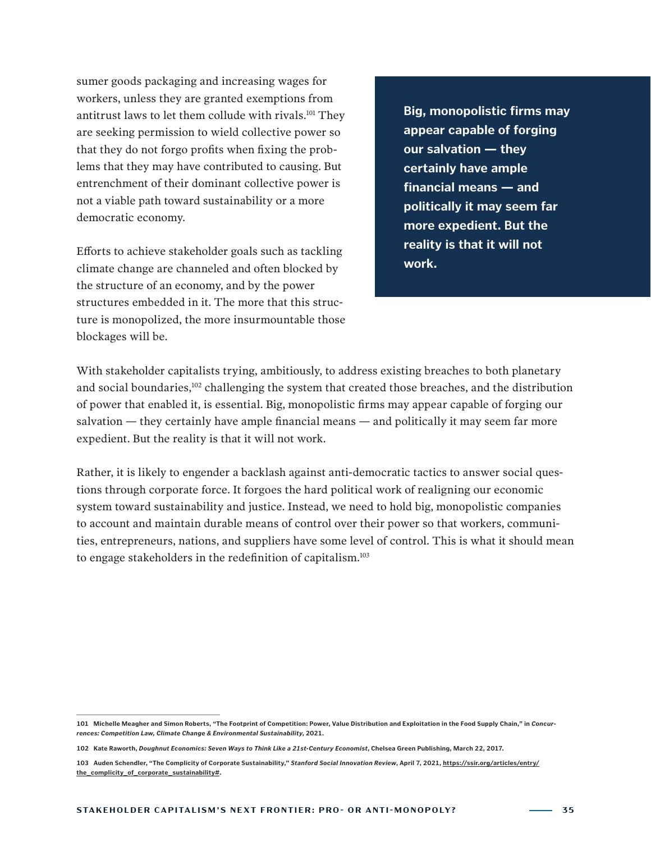sumer goods packaging and increasing wages for workers, unless they are granted exemptions from antitrust laws to let them collude with rivals.101 They are seeking permission to wield collective power so that they do not forgo profits when fixing the problems that they may have contributed to causing. But entrenchment of their dominant collective power is not a viable path toward sustainability or a more democratic economy.

Efforts to achieve stakeholder goals such as tackling climate change are channeled and often blocked by the structure of an economy, and by the power structures embedded in it. The more that this structure is monopolized, the more insurmountable those blockages will be.

**Big, monopolistic firms may appear capable of forging our salvation — they certainly have ample financial means — and politically it may seem far more expedient. But the reality is that it will not work.**

With stakeholder capitalists trying, ambitiously, to address existing breaches to both planetary and social boundaries,102 challenging the system that created those breaches, and the distribution of power that enabled it, is essential. Big, monopolistic firms may appear capable of forging our salvation — they certainly have ample financial means — and politically it may seem far more expedient. But the reality is that it will not work.

Rather, it is likely to engender a backlash against anti-democratic tactics to answer social questions through corporate force. It forgoes the hard political work of realigning our economic system toward sustainability and justice. Instead, we need to hold big, monopolistic companies to account and maintain durable means of control over their power so that workers, communities, entrepreneurs, nations, and suppliers have some level of control. This is what it should mean to engage stakeholders in the redefinition of capitalism.103

**<sup>101</sup> Michelle Meagher and Simon Roberts, "The Footprint of Competition: Power, Value Distribution and Exploitation in the Food Supply Chain," in** *Concurrences: Competition Law, Climate Change & Environmental Sustainability***, 2021.** 

**<sup>102</sup> Kate Raworth,** *Doughnut Economics: Seven Ways to Think Like a 21st-Century Economist***, Chelsea Green Publishing, March 22, 2017.**

**<sup>103</sup> Auden Schendler, "The Complicity of Corporate Sustainability,"** *Stanford Social Innovation Review***, April 7, 2021, [https://ssir.org/articles/entry/](https://ssir.org/articles/entry/the_complicity_of_corporate_sustainability#) [the\\_complicity\\_of\\_corporate\\_sustainability#.](https://ssir.org/articles/entry/the_complicity_of_corporate_sustainability#)**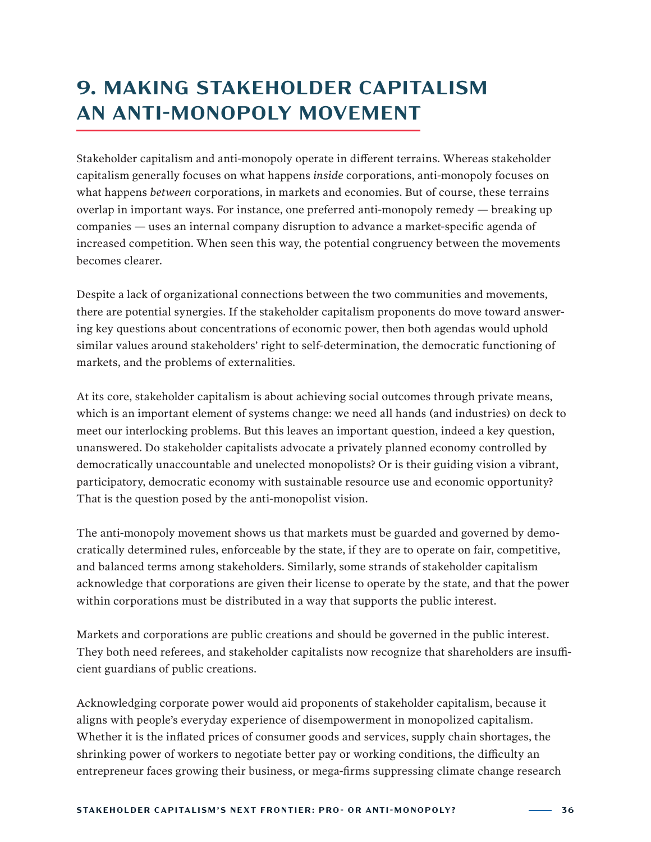### <span id="page-35-0"></span>**9. MAKING STAKEHOLDER CAPITALISM AN ANTI-MONOPOLY MOVEMENT**

Stakeholder capitalism and anti-monopoly operate in different terrains. Whereas stakeholder capitalism generally focuses on what happens *inside* corporations, anti-monopoly focuses on what happens *between* corporations, in markets and economies. But of course, these terrains overlap in important ways. For instance, one preferred anti-monopoly remedy — breaking up companies — uses an internal company disruption to advance a market-specific agenda of increased competition. When seen this way, the potential congruency between the movements becomes clearer.

Despite a lack of organizational connections between the two communities and movements, there are potential synergies. If the stakeholder capitalism proponents do move toward answering key questions about concentrations of economic power, then both agendas would uphold similar values around stakeholders' right to self-determination, the democratic functioning of markets, and the problems of externalities.

At its core, stakeholder capitalism is about achieving social outcomes through private means, which is an important element of systems change: we need all hands (and industries) on deck to meet our interlocking problems. But this leaves an important question, indeed a key question, unanswered. Do stakeholder capitalists advocate a privately planned economy controlled by democratically unaccountable and unelected monopolists? Or is their guiding vision a vibrant, participatory, democratic economy with sustainable resource use and economic opportunity? That is the question posed by the anti-monopolist vision.

The anti-monopoly movement shows us that markets must be guarded and governed by democratically determined rules, enforceable by the state, if they are to operate on fair, competitive, and balanced terms among stakeholders. Similarly, some strands of stakeholder capitalism acknowledge that corporations are given their license to operate by the state, and that the power within corporations must be distributed in a way that supports the public interest.

Markets and corporations are public creations and should be governed in the public interest. They both need referees, and stakeholder capitalists now recognize that shareholders are insufficient guardians of public creations.

Acknowledging corporate power would aid proponents of stakeholder capitalism, because it aligns with people's everyday experience of disempowerment in monopolized capitalism. Whether it is the inflated prices of consumer goods and services, supply chain shortages, the shrinking power of workers to negotiate better pay or working conditions, the difficulty an entrepreneur faces growing their business, or mega-firms suppressing climate change research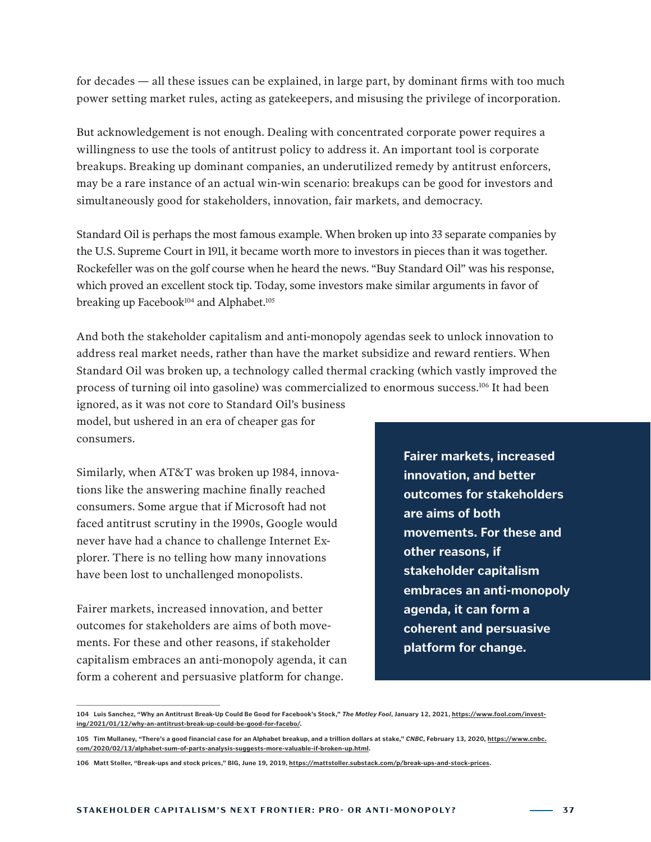for decades — all these issues can be explained, in large part, by dominant firms with too much power setting market rules, acting as gatekeepers, and misusing the privilege of incorporation.

But acknowledgement is not enough. Dealing with concentrated corporate power requires a willingness to use the tools of antitrust policy to address it. An important tool is corporate breakups. Breaking up dominant companies, an underutilized remedy by antitrust enforcers, may be a rare instance of an actual win-win scenario: breakups can be good for investors and simultaneously good for stakeholders, innovation, fair markets, and democracy.

Standard Oil is perhaps the most famous example. When broken up into 33 separate companies by the U.S. Supreme Court in 1911, it became worth more to investors in pieces than it was together. Rockefeller was on the golf course when he heard the news. "Buy Standard Oil" was his response, which proved an excellent stock tip. Today, some investors make similar arguments in favor of breaking up Facebook<sup>104</sup> and Alphabet.<sup>105</sup>

And both the stakeholder capitalism and anti-monopoly agendas seek to unlock innovation to address real market needs, rather than have the market subsidize and reward rentiers. When Standard Oil was broken up, a technology called thermal cracking (which vastly improved the process of turning oil into gasoline) was commercialized to enormous success.<sup>106</sup> It had been

ignored, as it was not core to Standard Oil's business model, but ushered in an era of cheaper gas for consumers.

Similarly, when AT&T was broken up 1984, innovations like the answering machine finally reached consumers. Some argue that if Microsoft had not faced antitrust scrutiny in the 1990s, Google would never have had a chance to challenge Internet Explorer. There is no telling how many innovations have been lost to unchallenged monopolists.

Fairer markets, increased innovation, and better outcomes for stakeholders are aims of both movements. For these and other reasons, if stakeholder capitalism embraces an anti-monopoly agenda, it can form a coherent and persuasive platform for change.

**Fairer markets, increased innovation, and better outcomes for stakeholders are aims of both movements. For these and other reasons, if stakeholder capitalism embraces an anti-monopoly agenda, it can form a coherent and persuasive platform for change.**

**<sup>104</sup> Luis Sanchez, "Why an Antitrust Break-Up Could Be Good for Facebook's Stock,"** *The Motley Fool***, January 12, 2021, [https://www.fool.com/invest](https://www.fool.com/investing/2021/01/12/why-an-antitrust-break-up-could-be-good-for-facebo/)[ing/2021/01/12/why-an-antitrust-break-up-could-be-good-for-facebo/](https://www.fool.com/investing/2021/01/12/why-an-antitrust-break-up-could-be-good-for-facebo/).** 

**<sup>105</sup> Tim Mullaney, "There's a good financial case for an Alphabet breakup, and a trillion dollars at stake,"** *CNBC***, February 13, 2020, [https://www.cnbc.](https://www.cnbc.com/2020/02/13/alphabet-sum-of-parts-analysis-suggests-more-valuable-if-broken-up.html) [com/2020/02/13/alphabet-sum-of-parts-analysis-suggests-more-valuable-if-broken-up.html.](https://www.cnbc.com/2020/02/13/alphabet-sum-of-parts-analysis-suggests-more-valuable-if-broken-up.html)** 

**<sup>106</sup> Matt Stoller, "Break-ups and stock prices," BIG, June 19, 2019, [https://mattstoller.substack.com/p/break-ups-and-stock-prices.](https://mattstoller.substack.com/p/break-ups-and-stock-prices)**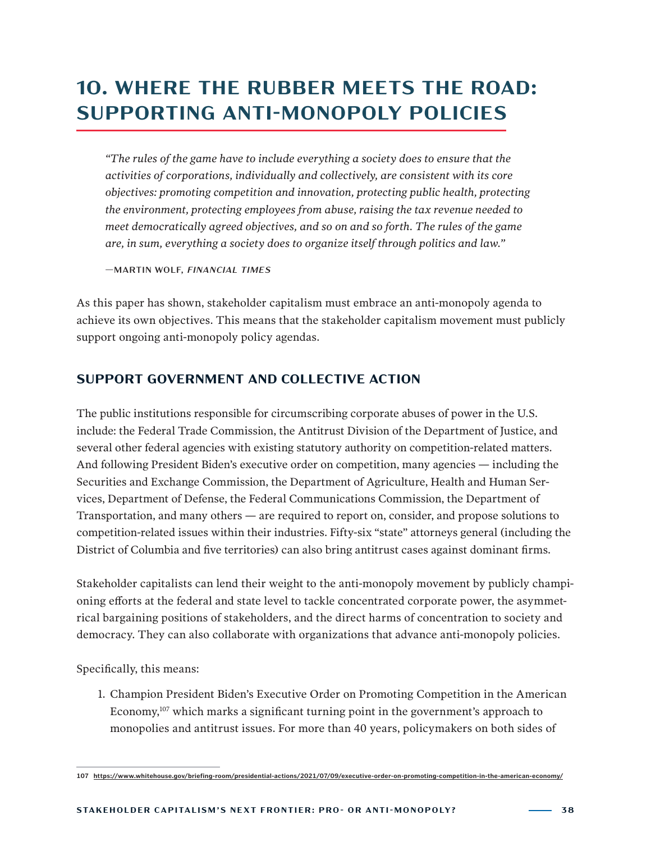## <span id="page-37-0"></span>**10. WHERE THE RUBBER MEETS THE ROAD: SUPPORTING ANTI-MONOPOLY POLICIES**

*"The rules of the game have to include everything a society does to ensure that the activities of corporations, individually and collectively, are consistent with its core objectives: promoting competition and innovation, protecting public health, protecting the environment, protecting employees from abuse, raising the tax revenue needed to meet democratically agreed objectives, and so on and so forth. The rules of the game are, in sum, everything a society does to organize itself through politics and law."*

—MARTIN WOLF, FINANCIAL TIMES

As this paper has shown, stakeholder capitalism must embrace an anti-monopoly agenda to achieve its own objectives. This means that the stakeholder capitalism movement must publicly support ongoing anti-monopoly policy agendas.

#### **SUPPORT GOVERNMENT AND COLLECTIVE ACTION**

The public institutions responsible for circumscribing corporate abuses of power in the U.S. include: the Federal Trade Commission, the Antitrust Division of the Department of Justice, and several other federal agencies with existing statutory authority on competition-related matters. And following President Biden's executive order on competition, many agencies — including the Securities and Exchange Commission, the Department of Agriculture, Health and Human Services, Department of Defense, the Federal Communications Commission, the Department of Transportation, and many others — are required to report on, consider, and propose solutions to competition-related issues within their industries. Fifty-six "state" attorneys general (including the District of Columbia and five territories) can also bring antitrust cases against dominant firms.

Stakeholder capitalists can lend their weight to the anti-monopoly movement by publicly championing efforts at the federal and state level to tackle concentrated corporate power, the asymmetrical bargaining positions of stakeholders, and the direct harms of concentration to society and democracy. They can also collaborate with organizations that advance anti-monopoly policies.

Specifically, this means:

1. Champion President Biden's Executive Order on Promoting Competition in the American Economy,107 which marks a significant turning point in the government's approach to monopolies and antitrust issues. For more than 40 years, policymakers on both sides of

**<sup>107</sup> <https://www.whitehouse.gov/briefing-room/presidential-actions/2021/07/09/executive-order-on-promoting-competition-in-the-american-economy/>**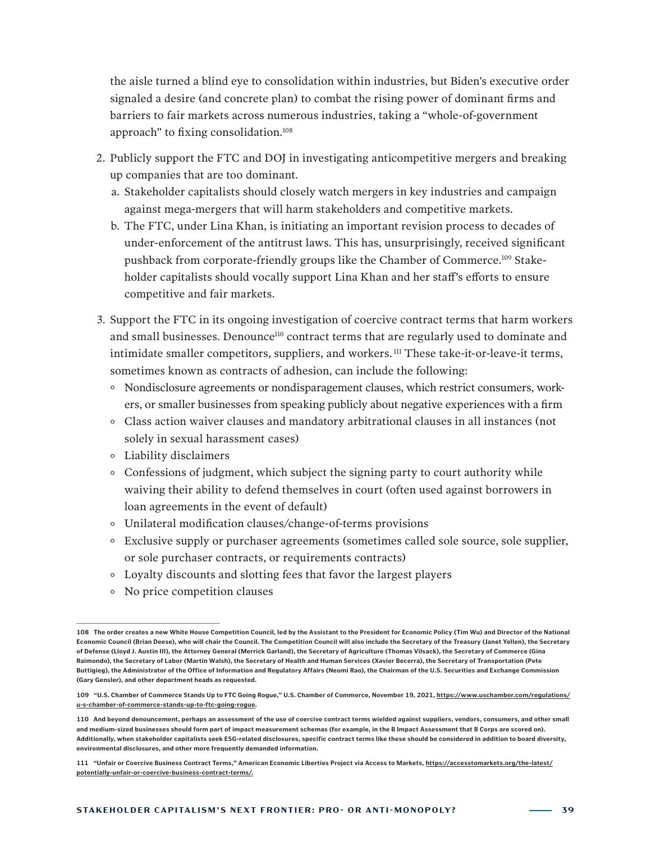the aisle turned a blind eye to consolidation within industries, but Biden's executive order signaled a desire (and concrete plan) to combat the rising power of dominant firms and barriers to fair markets across numerous industries, taking a "whole-of-government approach" to fixing consolidation.108

- 2. Publicly support the FTC and DOJ in investigating anticompetitive mergers and breaking up companies that are too dominant.
	- a. Stakeholder capitalists should closely watch mergers in key industries and campaign against mega-mergers that will harm stakeholders and competitive markets.
	- b. The FTC, under Lina Khan, is initiating an important revision process to decades of under-enforcement of the antitrust laws. This has, unsurprisingly, received significant pushback from corporate-friendly groups like the Chamber of Commerce.109 Stakeholder capitalists should vocally support Lina Khan and her staff's efforts to ensure competitive and fair markets.
- 3. Support the FTC in its ongoing investigation of coercive contract terms that harm workers and small businesses. Denounce<sup>110</sup> contract terms that are regularly used to dominate and intimidate smaller competitors, suppliers, and workers.  $111$  These take-it-or-leave-it terms, sometimes known as contracts of adhesion, can include the following:
	- ° Nondisclosure agreements or nondisparagement clauses, which restrict consumers, workers, or smaller businesses from speaking publicly about negative experiences with a firm
	- ° Class action waiver clauses and mandatory arbitrational clauses in all instances (not solely in sexual harassment cases)
	- ° Liability disclaimers
	- ° Confessions of judgment, which subject the signing party to court authority while waiving their ability to defend themselves in court (often used against borrowers in loan agreements in the event of default)
	- ° Unilateral modification clauses/change-of-terms provisions
	- ° Exclusive supply or purchaser agreements (sometimes called sole source, sole supplier, or sole purchaser contracts, or requirements contracts)
	- ° Loyalty discounts and slotting fees that favor the largest players
	- ° No price competition clauses

**<sup>108</sup> The order creates a new White House Competition Council, led by the Assistant to the President for Economic Policy (Tim Wu) and Director of the National Economic Council (Brian Deese), who will chair the Council. The Competition Council will also include the Secretary of the Treasury (Janet Yellen), the Secretary of Defense (Lloyd J. Austin III), the Attorney General (Merrick Garland), the Secretary of Agriculture (Thomas Vilsack), the Secretary of Commerce (Gina Raimondo), the Secretary of Labor (Martin Walsh), the Secretary of Health and Human Services (Xavier Becerra), the Secretary of Transportation (Pete Buttigieg), the Administrator of the Office of Information and Regulatory Affairs (Neomi Rao), the Chairman of the U.S. Securities and Exchange Commission (Gary Gensler), and other department heads as requested.**

**<sup>109 &</sup>quot;U.S. Chamber of Commerce Stands Up to FTC Going Rogue," U.S. Chamber of Commerce, November 19, 2021, [https://www.uschamber.com/regulations/](https://www.uschamber.com/regulations/u-s-chamber-of-commerce-stands-up-to-ftc-going-rogue) [u-s-chamber-of-commerce-stands-up-to-ftc-going-rogue](https://www.uschamber.com/regulations/u-s-chamber-of-commerce-stands-up-to-ftc-going-rogue).** 

**<sup>110</sup> And beyond denouncement, perhaps an assessment of the use of coercive contract terms wielded against suppliers, vendors, consumers, and other small and medium-sized businesses should form part of impact measurement schemas (for example, in the B Impact Assessment that B Corps are scored on). Additionally, when stakeholder capitalists seek ESG-related disclosures, specific contract terms like these should be considered in addition to board diversity, environmental disclosures, and other more frequently demanded information.**

**<sup>111 &</sup>quot;Unfair or Coercive Business Contract Terms," American Economic Liberties Project via Access to Markets, [https://accesstomarkets.org/the-latest/](https://accesstomarkets.org/the-latest/potentially-unfair-or-coercive-business-contract-terms/) [potentially-unfair-or-coercive-business-contract-terms/.](https://accesstomarkets.org/the-latest/potentially-unfair-or-coercive-business-contract-terms/)**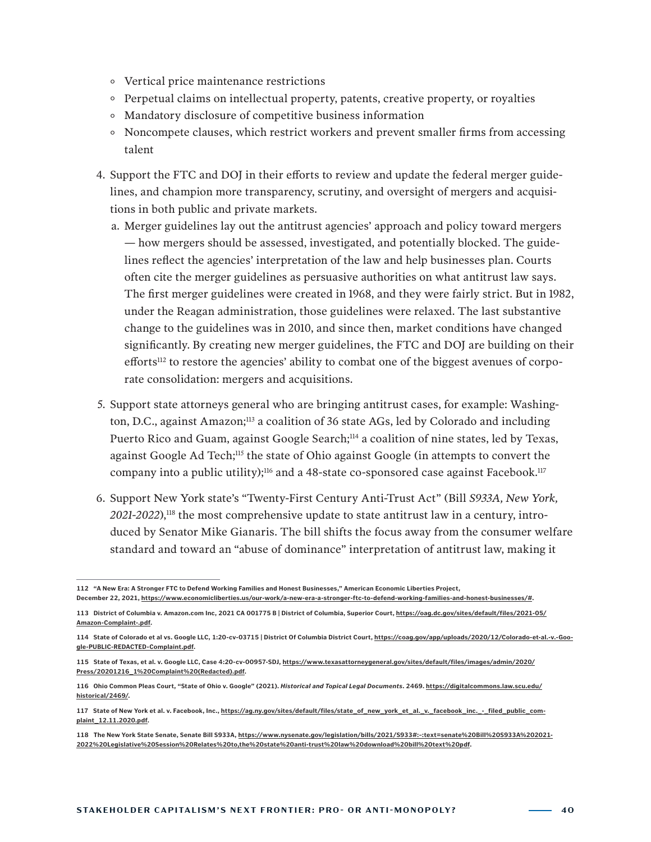- ° Vertical price maintenance restrictions
- ° Perpetual claims on intellectual property, patents, creative property, or royalties
- ° Mandatory disclosure of competitive business information
- ° Noncompete clauses, which restrict workers and prevent smaller firms from accessing talent
- 4. Support the FTC and DOJ in their efforts to review and update the federal merger guidelines, and champion more transparency, scrutiny, and oversight of mergers and acquisitions in both public and private markets.
	- a. Merger guidelines lay out the antitrust agencies' approach and policy toward mergers — how mergers should be assessed, investigated, and potentially blocked. The guidelines reflect the agencies' interpretation of the law and help businesses plan. Courts often cite the merger guidelines as persuasive authorities on what antitrust law says. The first merger guidelines were created in 1968, and they were fairly strict. But in 1982, under the Reagan administration, those guidelines were relaxed. The last substantive change to the guidelines was in 2010, and since then, market conditions have changed significantly. By creating new merger guidelines, the FTC and DOJ are building on their efforts<sup>112</sup> to restore the agencies' ability to combat one of the biggest avenues of corporate consolidation: mergers and acquisitions.
- 5. Support state attorneys general who are bringing antitrust cases, for example: Washington, D.C., against Amazon;<sup>113</sup> a coalition of 36 state AGs, led by Colorado and including Puerto Rico and Guam, against Google Search;<sup>114</sup> a coalition of nine states, led by Texas, against Google Ad Tech;<sup>115</sup> the state of Ohio against Google (in attempts to convert the company into a public utility);<sup>116</sup> and a 48-state co-sponsored case against Facebook.<sup>117</sup>
- 6. Support New York state's "Twenty-First Century Anti-Trust Act" (Bill *S933A, New York, 2021-2022*),118 the most comprehensive update to state antitrust law in a century, introduced by Senator Mike Gianaris. The bill shifts the focus away from the consumer welfare standard and toward an "abuse of dominance" interpretation of antitrust law, making it

**<sup>112 &</sup>quot;A New Era: A Stronger FTC to Defend Working Families and Honest Businesses," American Economic Liberties Project, December 22, 2021, [https://www.economicliberties.us/our-work/a-new-era-a-stronger-ftc-to-defend-working-families-and-honest-businesses/#.](https://www.economicliberties.us/our-work/a-new-era-a-stronger-ftc-to-defend-working-families-and-honest-businesses/)**

**<sup>113</sup> District of Columbia v. Amazon.com Inc, 2021 CA 001775 B | District of Columbia, Superior Court, [https://oag.dc.gov/sites/default/files/2021-05/](https://oag.dc.gov/sites/default/files/2021-05/Amazon-Complaint-.pdf) [Amazon-Complaint-.pdf.](https://oag.dc.gov/sites/default/files/2021-05/Amazon-Complaint-.pdf)**

**<sup>114</sup> State of Colorado et al vs. Google LLC, 1:20-cv-03715 | District Of Columbia District Court, [https://coag.gov/app/uploads/2020/12/Colorado-et-al.-v.-Goo](https://coag.gov/app/uploads/2020/12/Colorado-et-al.-v.-Google-PUBLIC-REDACTED-Complaint.pdf)[gle-PUBLIC-REDACTED-Complaint.pdf](https://coag.gov/app/uploads/2020/12/Colorado-et-al.-v.-Google-PUBLIC-REDACTED-Complaint.pdf).**

**<sup>115</sup> State of Texas, et al. v. Google LLC, Case 4:20-cv-00957-SDJ, [https://www.texasattorneygeneral.gov/sites/default/files/images/admin/2020/](https://www.texasattorneygeneral.gov/sites/default/files/images/admin/2020/Press/20201216_1%20Complaint%20(Redacted).pdf) [Press/20201216\\_1%20Complaint%20\(Redacted\).pdf](https://www.texasattorneygeneral.gov/sites/default/files/images/admin/2020/Press/20201216_1%20Complaint%20(Redacted).pdf).**

**<sup>116</sup> Ohio Common Pleas Court, "State of Ohio v. Google" (2021).** *Historical and Topical Legal Documents***. 2469. [https://digitalcommons.law.scu.edu/](https://digitalcommons.law.scu.edu/historical/2469/) [historical/2469/.](https://digitalcommons.law.scu.edu/historical/2469/)**

<sup>117</sup> State of New York et al. v. Facebook, Inc., [https://ag.ny.gov/sites/default/files/state\\_of\\_new\\_york\\_et\\_al.\\_v.\\_facebook\\_inc.\\_-\\_filed\\_public\\_com](https://ag.ny.gov/sites/default/files/state_of_new_york_et_al._v._facebook_inc._-_filed_public_complaint_12.11.2020.pdf)**[plaint\\_12.11.2020.pdf.](https://ag.ny.gov/sites/default/files/state_of_new_york_et_al._v._facebook_inc._-_filed_public_complaint_12.11.2020.pdf)** 

**<sup>118</sup> The New York State Senate, Senate Bill S933A, https://www.nysenate.gov/legislation/bills/2021/S933#:~:text=senate%20Bill%20S933A%202021- 2022%20Legislative%20Session%20Relates%20to,the%20state%20anti-trust%20law%20download%20bill%20text%20pdf.**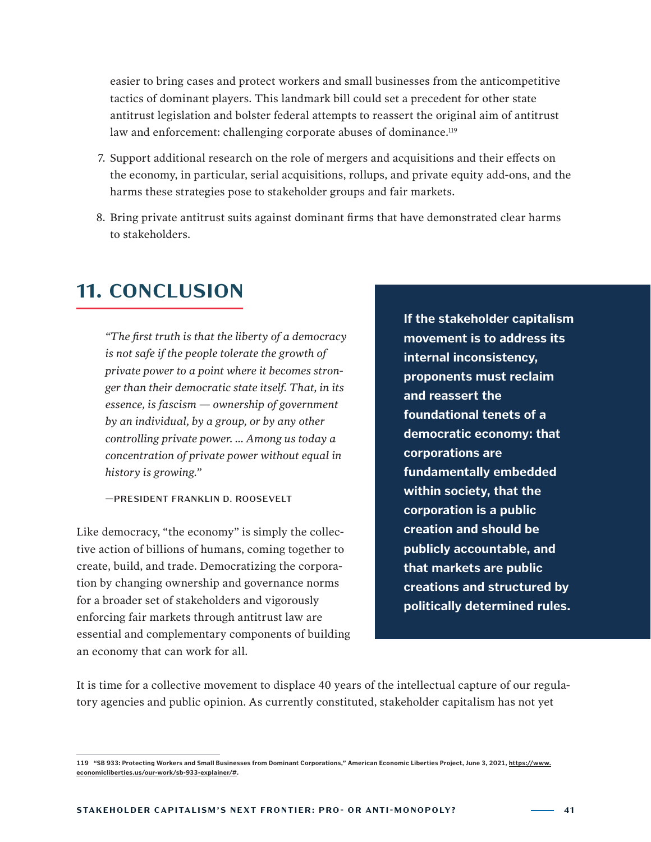<span id="page-40-0"></span>easier to bring cases and protect workers and small businesses from the anticompetitive tactics of dominant players. This landmark bill could set a precedent for other state antitrust legislation and bolster federal attempts to reassert the original aim of antitrust law and enforcement: challenging corporate abuses of dominance.<sup>119</sup>

- 7. Support additional research on the role of mergers and acquisitions and their effects on the economy, in particular, serial acquisitions, rollups, and private equity add-ons, and the harms these strategies pose to stakeholder groups and fair markets.
- 8. Bring private antitrust suits against dominant firms that have demonstrated clear harms to stakeholders.

### **11. CONCLUSION**

*"The first truth is that the liberty of a democracy is not safe if the people tolerate the growth of private power to a point where it becomes stronger than their democratic state itself. That, in its essence, is fascism — ownership of government by an individual, by a group, or by any other controlling private power. ... Among us today a concentration of private power without equal in history is growing."*

—PRESIDENT FRANKLIN D. ROOSEVELT

Like democracy, "the economy" is simply the collective action of billions of humans, coming together to create, build, and trade. Democratizing the corporation by changing ownership and governance norms for a broader set of stakeholders and vigorously enforcing fair markets through antitrust law are essential and complementary components of building an economy that can work for all.

**If the stakeholder capitalism movement is to address its internal inconsistency, proponents must reclaim and reassert the foundational tenets of a democratic economy: that corporations are fundamentally embedded within society, that the corporation is a public creation and should be publicly accountable, and that markets are public creations and structured by politically determined rules.**

It is time for a collective movement to displace 40 years of the intellectual capture of our regulatory agencies and public opinion. As currently constituted, stakeholder capitalism has not yet

**<sup>119 &</sup>quot;SB 933: Protecting Workers and Small Businesses from Dominant Corporations," American Economic Liberties Project, June 3, 2021, [https://www.](https://www.economicliberties.us/our-work/sb-933-explainer/) [economicliberties.us/our-work/sb-933-explainer/#.](https://www.economicliberties.us/our-work/sb-933-explainer/)**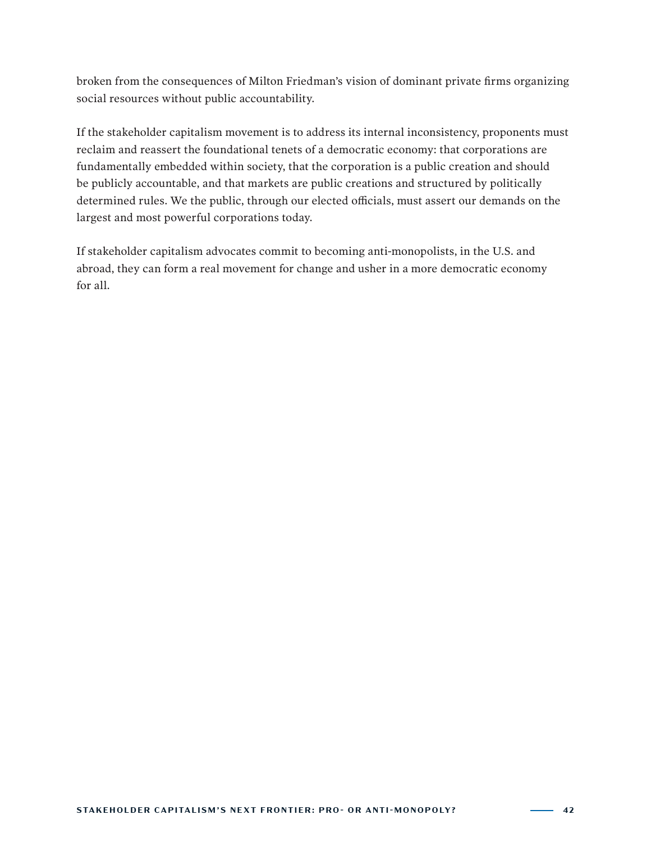broken from the consequences of Milton Friedman's vision of dominant private firms organizing social resources without public accountability.

If the stakeholder capitalism movement is to address its internal inconsistency, proponents must reclaim and reassert the foundational tenets of a democratic economy: that corporations are fundamentally embedded within society, that the corporation is a public creation and should be publicly accountable, and that markets are public creations and structured by politically determined rules. We the public, through our elected officials, must assert our demands on the largest and most powerful corporations today.

If stakeholder capitalism advocates commit to becoming anti-monopolists, in the U.S. and abroad, they can form a real movement for change and usher in a more democratic economy for all.